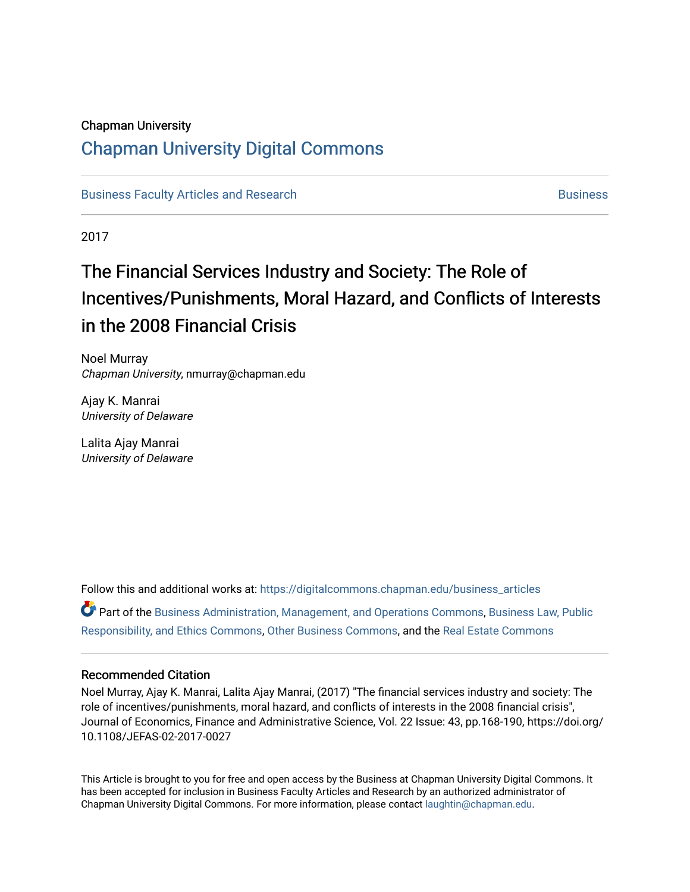## Chapman University

## [Chapman University Digital Commons](https://digitalcommons.chapman.edu/)

[Business Faculty Articles and Research](https://digitalcommons.chapman.edu/business_articles) [Business](https://digitalcommons.chapman.edu/business) **Business** Business

2017

# The Financial Services Industry and Society: The Role of Incentives/Punishments, Moral Hazard, and Conflicts of Interests in the 2008 Financial Crisis

Noel Murray Chapman University, nmurray@chapman.edu

Ajay K. Manrai University of Delaware

Lalita Ajay Manrai University of Delaware

Follow this and additional works at: [https://digitalcommons.chapman.edu/business\\_articles](https://digitalcommons.chapman.edu/business_articles?utm_source=digitalcommons.chapman.edu%2Fbusiness_articles%2F59&utm_medium=PDF&utm_campaign=PDFCoverPages)  Part of the [Business Administration, Management, and Operations Commons](http://network.bepress.com/hgg/discipline/623?utm_source=digitalcommons.chapman.edu%2Fbusiness_articles%2F59&utm_medium=PDF&utm_campaign=PDFCoverPages), [Business Law, Public](http://network.bepress.com/hgg/discipline/628?utm_source=digitalcommons.chapman.edu%2Fbusiness_articles%2F59&utm_medium=PDF&utm_campaign=PDFCoverPages) [Responsibility, and Ethics Commons,](http://network.bepress.com/hgg/discipline/628?utm_source=digitalcommons.chapman.edu%2Fbusiness_articles%2F59&utm_medium=PDF&utm_campaign=PDFCoverPages) [Other Business Commons](http://network.bepress.com/hgg/discipline/647?utm_source=digitalcommons.chapman.edu%2Fbusiness_articles%2F59&utm_medium=PDF&utm_campaign=PDFCoverPages), and the [Real Estate Commons](http://network.bepress.com/hgg/discipline/641?utm_source=digitalcommons.chapman.edu%2Fbusiness_articles%2F59&utm_medium=PDF&utm_campaign=PDFCoverPages) 

### Recommended Citation

Noel Murray, Ajay K. Manrai, Lalita Ajay Manrai, (2017) "The financial services industry and society: The role of incentives/punishments, moral hazard, and conflicts of interests in the 2008 financial crisis", Journal of Economics, Finance and Administrative Science, Vol. 22 Issue: 43, pp.168-190, https://doi.org/ 10.1108/JEFAS-02-2017-0027

This Article is brought to you for free and open access by the Business at Chapman University Digital Commons. It has been accepted for inclusion in Business Faculty Articles and Research by an authorized administrator of Chapman University Digital Commons. For more information, please contact [laughtin@chapman.edu](mailto:laughtin@chapman.edu).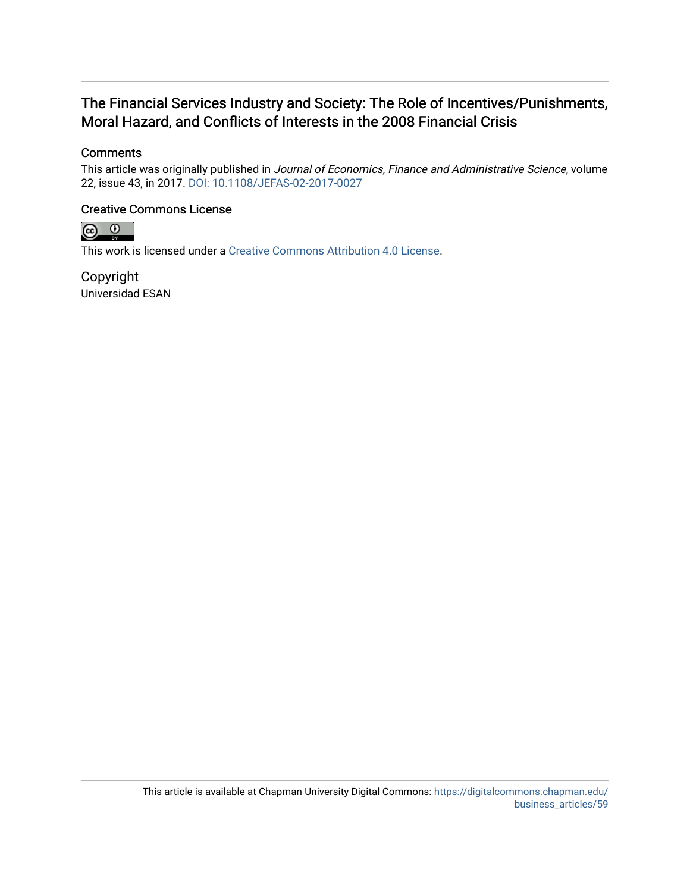## The Financial Services Industry and Society: The Role of Incentives/Punishments, Moral Hazard, and Conflicts of Interests in the 2008 Financial Crisis

## **Comments**

This article was originally published in Journal of Economics, Finance and Administrative Science, volume 22, issue 43, in 2017. [DOI: 10.1108/JEFAS-02-2017-0027](https://doi.org/10.1108/JEFAS-02-2017-0027) 

## Creative Commons License



This work is licensed under a [Creative Commons Attribution 4.0 License](https://creativecommons.org/licenses/by/4.0/).

Copyright Universidad ESAN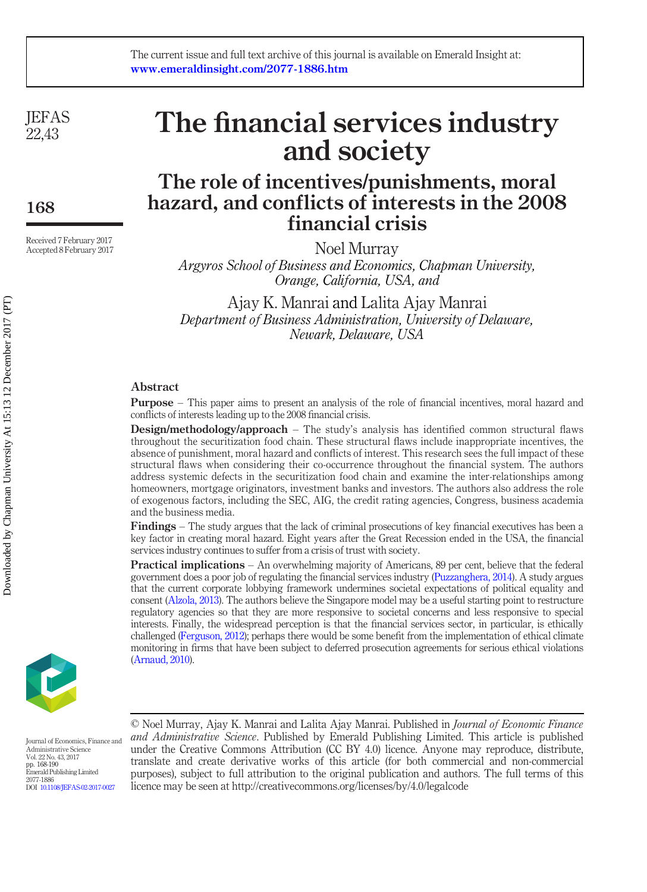**JEFAS** 22,43

168

Received 7 February 2017 Accepted 8 February 2017

# The financial services industry and society

# The role of incentives/punishments, moral hazard, and conflicts of interests in the 2008 financial crisis

Noel Murray

Argyros School of Business and Economics, Chapman University, Orange, California, USA, and

Ajay K. Manrai and Lalita Ajay Manrai Department of Business Administration, University of Delaware, Newark, Delaware, USA

### Abstract

Purpose – This paper aims to present an analysis of the role of financial incentives, moral hazard and conflicts of interests leading up to the 2008 financial crisis.

Design/methodology/approach – The study's analysis has identified common structural flaws throughout the securitization food chain. These structural flaws include inappropriate incentives, the absence of punishment, moral hazard and conflicts of interest. This research sees the full impact of these structural flaws when considering their co-occurrence throughout the financial system. The authors address systemic defects in the securitization food chain and examine the inter-relationships among homeowners, mortgage originators, investment banks and investors. The authors also address the role of exogenous factors, including the SEC, AIG, the credit rating agencies, Congress, business academia and the business media.

Findings – The study argues that the lack of criminal prosecutions of key financial executives has been a key factor in creating moral hazard. Eight years after the Great Recession ended in the USA, the financial services industry continues to suffer from a crisis of trust with society.

Practical implications – An overwhelming majority of Americans, 89 per cent, believe that the federal government does a poor job of regulating the financial services industry [\(Puzzanghera, 2014\)](#page-23-0). A study argues that the current corporate lobbying framework undermines societal expectations of political equality and consent [\(Alzola, 2013\)](#page-21-0). The authors believe the Singapore model may be a useful starting point to restructure regulatory agencies so that they are more responsive to societal concerns and less responsive to special interests. Finally, the widespread perception is that the financial services sector, in particular, is ethically challenged ([Ferguson, 2012](#page-21-1)); perhaps there would be some benefit from the implementation of ethical climate monitoring in firms that have been subject to deferred prosecution agreements for serious ethical violations ([Arnaud, 2010\)](#page-21-2).



Journal of Economics, Finance and Administrative Science Vol. 22 No. 43, 2017 pp. 168-190 Emerald Publishing Limited 2077-1886 DOI [10.1108/JEFAS-02-2017-0027](http://dx.doi.org/10.1108/JEFAS-02-2017-0027)

© Noel Murray, Ajay K. Manrai and Lalita Ajay Manrai. Published in Journal of Economic Finance and Administrative Science. Published by Emerald Publishing Limited. This article is published under the Creative Commons Attribution (CC BY 4.0) licence. Anyone may reproduce, distribute, translate and create derivative works of this article (for both commercial and non-commercial purposes), subject to full attribution to the original publication and authors. The full terms of this licence may be seen at http://creativecommons.org/licenses/by/4.0/legalcode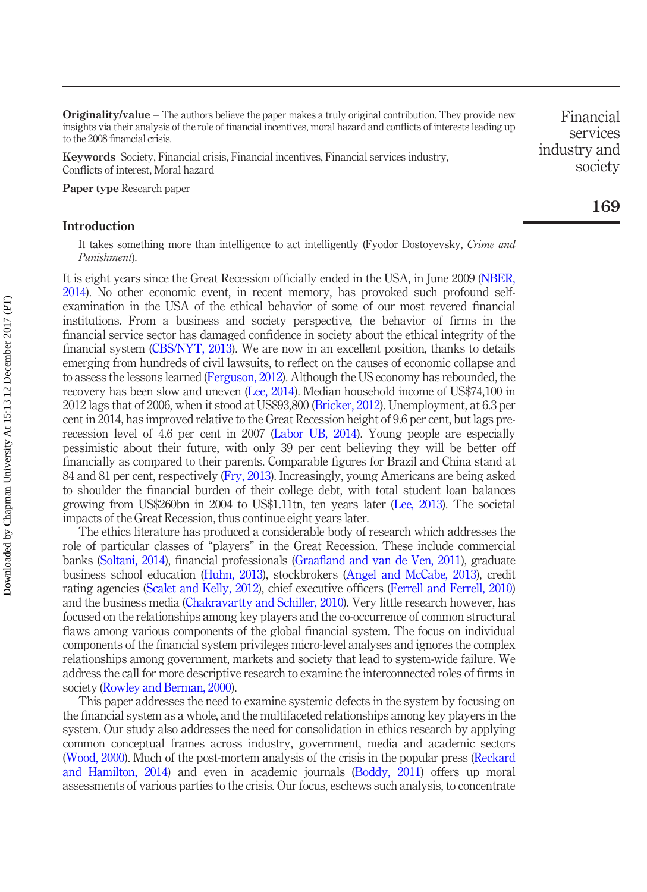**Originality/value** – The authors believe the paper makes a truly original contribution. They provide new insights via their analysis of the role of financial incentives, moral hazard and conflicts of interests leading up to the 2008 financial crisis.

Keywords Society, Financial crisis, Financial incentives, Financial services industry, Conflicts of interest, Moral hazard

Paper type Research paper

#### Introduction

It takes something more than intelligence to act intelligently (Fyodor Dostoyevsky, Crime and Punishment).

It is eight years since the Great Recession officially ended in the USA, in June 2009 [\(NBER,](#page-23-1) [2014\)](#page-23-1). No other economic event, in recent memory, has provoked such profound selfexamination in the USA of the ethical behavior of some of our most revered financial institutions. From a business and society perspective, the behavior of firms in the financial service sector has damaged confidence in society about the ethical integrity of the financial system [\(CBS/NYT, 2013\)](#page-21-3). We are now in an excellent position, thanks to details emerging from hundreds of civil lawsuits, to reflect on the causes of economic collapse and to assess the lessons learned [\(Ferguson, 2012](#page-21-1)). Although the US economy has rebounded, the recovery has been slow and uneven [\(Lee, 2014\)](#page-22-0). Median household income of US\$74,100 in 2012 lags that of 2006, when it stood at US\$93,800 [\(Bricker, 2012\)](#page-21-4). Unemployment, at 6.3 per cent in 2014, has improved relative to the Great Recession height of 9.6 per cent, but lags prerecession level of 4.6 per cent in 2007 ([Labor UB, 2014](#page-22-1)). Young people are especially pessimistic about their future, with only 39 per cent believing they will be better off financially as compared to their parents. Comparable figures for Brazil and China stand at 84 and 81 per cent, respectively ([Fry, 2013](#page-21-5)). Increasingly, young Americans are being asked to shoulder the financial burden of their college debt, with total student loan balances growing from US\$260bn in 2004 to US\$1.11tn, ten years later ([Lee, 2013](#page-22-2)). The societal impacts of the Great Recession, thus continue eight years later.

The ethics literature has produced a considerable body of research which addresses the role of particular classes of "players" in the Great Recession. These include commercial banks ([Soltani, 2014\)](#page-23-2), financial professionals (Graafl[and and van de Ven, 2011\)](#page-22-3), graduate business school education ([Huhn, 2013](#page-22-4)), stockbrokers [\(Angel and McCabe, 2013](#page-21-6)), credit rating agencies ([Scalet and Kelly, 2012](#page-23-3)), chief executive officers ([Ferrell and Ferrell, 2010\)](#page-21-7) and the business media ([Chakravartty and Schiller, 2010\)](#page-21-8). Very little research however, has focused on the relationships among key players and the co-occurrence of common structural flaws among various components of the global financial system. The focus on individual components of the financial system privileges micro-level analyses and ignores the complex relationships among government, markets and society that lead to system-wide failure. We address the call for more descriptive research to examine the interconnected roles of firms in society ([Rowley and Berman, 2000](#page-23-4)).

This paper addresses the need to examine systemic defects in the system by focusing on the financial system as a whole, and the multifaceted relationships among key players in the system. Our study also addresses the need for consolidation in ethics research by applying common conceptual frames across industry, government, media and academic sectors [\(Wood, 2000\)](#page-24-0). Much of the post-mortem analysis of the crisis in the popular press ([Reckard](#page-23-5) [and Hamilton, 2014\)](#page-23-5) and even in academic journals ([Boddy, 2011\)](#page-21-9) offers up moral assessments of various parties to the crisis. Our focus, eschews such analysis, to concentrate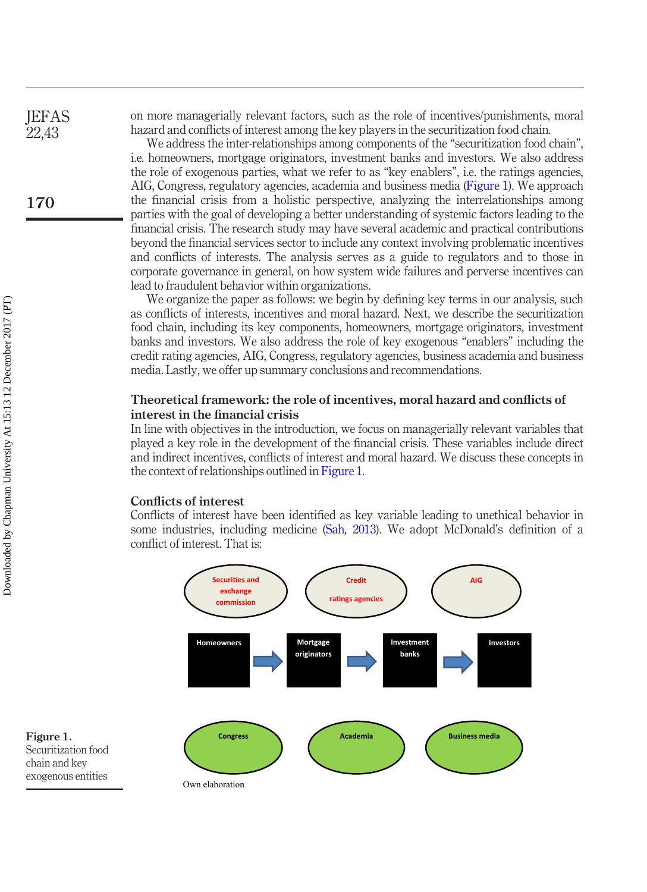on more managerially relevant factors, such as the role of incentives/punishments, moral hazard and conflicts of interest among the key players in the securitization food chain.

We address the inter-relationships among components of the "securitization food chain", i.e. homeowners, mortgage originators, investment banks and investors. We also address the role of exogenous parties, what we refer to as "key enablers", i.e. the ratings agencies, AIG, Congress, regulatory agencies, academia and business media ([Figure 1\)](#page-4-0). We approach the financial crisis from a holistic perspective, analyzing the interrelationships among parties with the goal of developing a better understanding of systemic factors leading to the financial crisis. The research study may have several academic and practical contributions beyond the financial services sector to include any context involving problematic incentives and conflicts of interests. The analysis serves as a guide to regulators and to those in corporate governance in general, on how system wide failures and perverse incentives can lead to fraudulent behavior within organizations.

We organize the paper as follows: we begin by defining key terms in our analysis, such as conflicts of interests, incentives and moral hazard. Next, we describe the securitization food chain, including its key components, homeowners, mortgage originators, investment banks and investors. We also address the role of key exogenous "enablers" including the credit rating agencies, AIG, Congress, regulatory agencies, business academia and business media. Lastly, we offer up summary conclusions and recommendations.

#### Theoretical framework: the role of incentives, moral hazard and conflicts of interest in the financial crisis

In line with objectives in the introduction, we focus on managerially relevant variables that played a key role in the development of the financial crisis. These variables include direct and indirect incentives, conflicts of interest and moral hazard. We discuss these concepts in the context of relationships outlined in [Figure 1](#page-4-0).

#### Conflicts of interest

Conflicts of interest have been identified as key variable leading to unethical behavior in some industries, including medicine ([Sah, 2013\)](#page-23-6). We adopt McDonald's definition of a conflict of interest. That is:



<span id="page-4-0"></span>Figure 1. Securitization food chain and key exogenous entities

170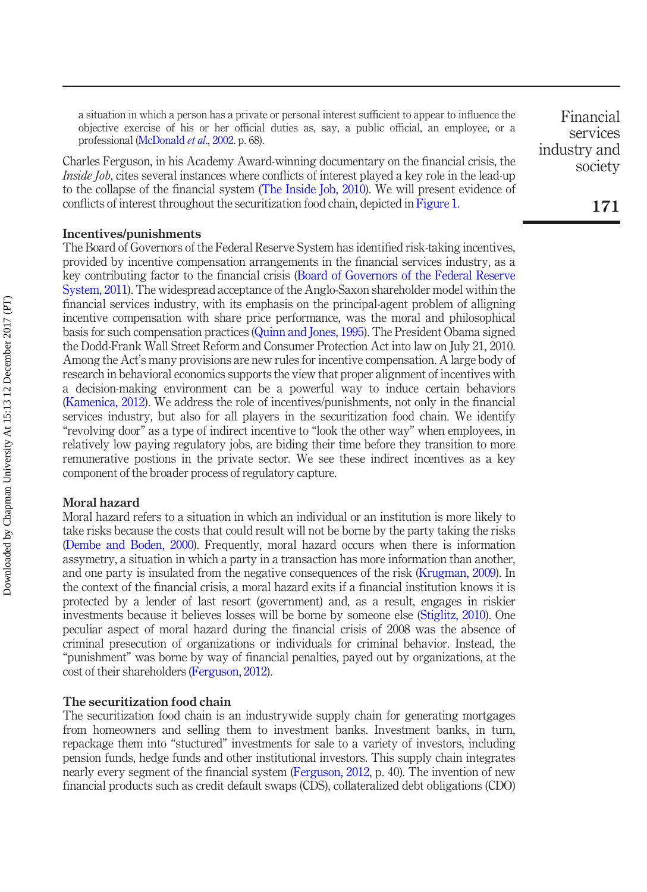a situation in which a person has a private or personal interest sufficient to appear to influence the objective exercise of his or her official duties as, say, a public official, an employee, or a professional ([McDonald](#page-22-5) et al., 2002. p. 68).

Charles Ferguson, in his Academy Award-winning documentary on the financial crisis, the Inside Job, cites several instances where conflicts of interest played a key role in the lead-up to the collapse of the financial system ([The Inside Job, 2010\)](#page-24-1). We will present evidence of conflicts of interest throughout the securitization food chain, depicted in [Figure 1.](#page-4-0)

#### Incentives/punishments

The Board of Governors of the Federal Reserve System has identified risk-taking incentives, provided by incentive compensation arrangements in the financial services industry, as a key contributing factor to the financial crisis ([Board of Governors of the Federal Reserve](#page-21-10) [System, 2011](#page-21-10)). The widespread acceptance of the Anglo-Saxon shareholder model within the financial services industry, with its emphasis on the principal-agent problem of alligning incentive compensation with share price performance, was the moral and philosophical basis for such compensation practices [\(Quinn and Jones, 1995\)](#page-23-7). The President Obama signed the Dodd-Frank Wall Street Reform and Consumer Protection Act into law on July 21, 2010. Among the Act's many provisions are new rules for incentive compensation. A large body of research in behavioral economics supports the view that proper alignment of incentives with a decision-making environment can be a powerful way to induce certain behaviors [\(Kamenica, 2012](#page-22-6)). We address the role of incentives/punishments, not only in the financial services industry, but also for all players in the securitization food chain. We identify "revolving door" as a type of indirect incentive to "look the other way" when employees, in relatively low paying regulatory jobs, are biding their time before they transition to more remunerative postions in the private sector. We see these indirect incentives as a key component of the broader process of regulatory capture.

#### Moral hazard

Moral hazard refers to a situation in which an individual or an institution is more likely to take risks because the costs that could result will not be borne by the party taking the risks [\(Dembe and Boden, 2000\)](#page-21-11). Frequently, moral hazard occurs when there is information assymetry, a situation in which a party in a transaction has more information than another, and one party is insulated from the negative consequences of the risk ([Krugman, 2009](#page-22-7)). In the context of the financial crisis, a moral hazard exits if a financial institution knows it is protected by a lender of last resort (government) and, as a result, engages in riskier investments because it believes losses will be borne by someone else ([Stiglitz, 2010](#page-23-8)). One peculiar aspect of moral hazard during the financial crisis of 2008 was the absence of criminal presecution of organizations or individuals for criminal behavior. Instead, the "punishment" was borne by way of financial penalties, payed out by organizations, at the cost of their shareholders [\(Ferguson, 2012\)](#page-21-1).

#### The securitization food chain

The securitization food chain is an industrywide supply chain for generating mortgages from homeowners and selling them to investment banks. Investment banks, in turn, repackage them into "stuctured" investments for sale to a variety of investors, including pension funds, hedge funds and other institutional investors. This supply chain integrates nearly every segment of the financial system ([Ferguson, 2012,](#page-21-1) p. 40). The invention of new financial products such as credit default swaps (CDS), collateralized debt obligations (CDO)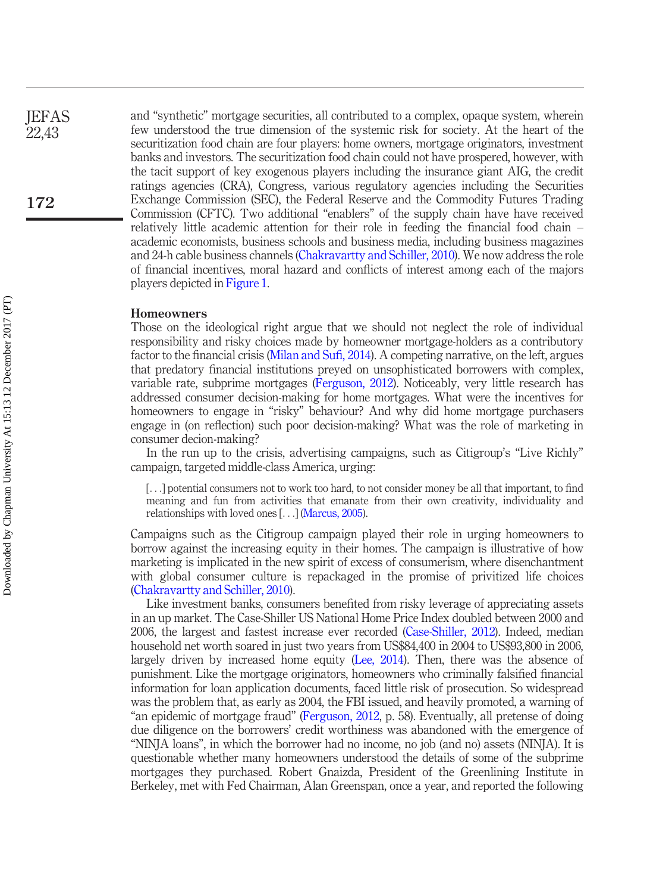and "synthetic" mortgage securities, all contributed to a complex, opaque system, wherein few understood the true dimension of the systemic risk for society. At the heart of the securitization food chain are four players: home owners, mortgage originators, investment banks and investors. The securitization food chain could not have prospered, however, with the tacit support of key exogenous players including the insurance giant AIG, the credit ratings agencies (CRA), Congress, various regulatory agencies including the Securities Exchange Commission (SEC), the Federal Reserve and the Commodity Futures Trading Commission (CFTC). Two additional "enablers" of the supply chain have have received relatively little academic attention for their role in feeding the financial food chain – academic economists, business schools and business media, including business magazines and 24-h cable business channels ([Chakravartty and Schiller, 2010\)](#page-21-8). We now address the role of financial incentives, moral hazard and conflicts of interest among each of the majors players depicted in [Figure 1.](#page-4-0)

#### Homeowners

Those on the ideological right argue that we should not neglect the role of individual responsibility and risky choices made by homeowner mortgage-holders as a contributory factor to the financial crisis ([Milan and Su](#page-22-8)fi, 2014). A competing narrative, on the left, argues that predatory financial institutions preyed on unsophisticated borrowers with complex, variable rate, subprime mortgages ([Ferguson, 2012\)](#page-21-1). Noticeably, very little research has addressed consumer decision-making for home mortgages. What were the incentives for homeowners to engage in "risky" behaviour? And why did home mortgage purchasers engage in (on reflection) such poor decision-making? What was the role of marketing in consumer decion-making?

In the run up to the crisis, advertising campaigns, such as Citigroup's "Live Richly" campaign, targeted middle-class America, urging:

[...] potential consumers not to work too hard, to not consider money be all that important, to find meaning and fun from activities that emanate from their own creativity, individuality and relationships with loved ones [...] [\(Marcus, 2005\)](#page-22-9).

Campaigns such as the Citigroup campaign played their role in urging homeowners to borrow against the increasing equity in their homes. The campaign is illustrative of how marketing is implicated in the new spirit of excess of consumerism, where disenchantment with global consumer culture is repackaged in the promise of privitized life choices [\(Chakravartty and Schiller, 2010\)](#page-21-8).

Like investment banks, consumers benefited from risky leverage of appreciating assets in an up market. The Case-Shiller US National Home Price Index doubled between 2000 and 2006, the largest and fastest increase ever recorded ([Case-Shiller, 2012](#page-21-12)). Indeed, median household net worth soared in just two years from US\$84,400 in 2004 to US\$93,800 in 2006, largely driven by increased home equity ([Lee, 2014\)](#page-22-0). Then, there was the absence of punishment. Like the mortgage originators, homeowners who criminally falsified financial information for loan application documents, faced little risk of prosecution. So widespread was the problem that, as early as 2004, the FBI issued, and heavily promoted, a warning of "an epidemic of mortgage fraud" [\(Ferguson, 2012](#page-21-1), p. 58). Eventually, all pretense of doing due diligence on the borrowers' credit worthiness was abandoned with the emergence of "NINJA loans", in which the borrower had no income, no job (and no) assets (NINJA). It is questionable whether many homeowners understood the details of some of the subprime mortgages they purchased. Robert Gnaizda, President of the Greenlining Institute in Berkeley, met with Fed Chairman, Alan Greenspan, once a year, and reported the following

**JEFAS** 22,43

172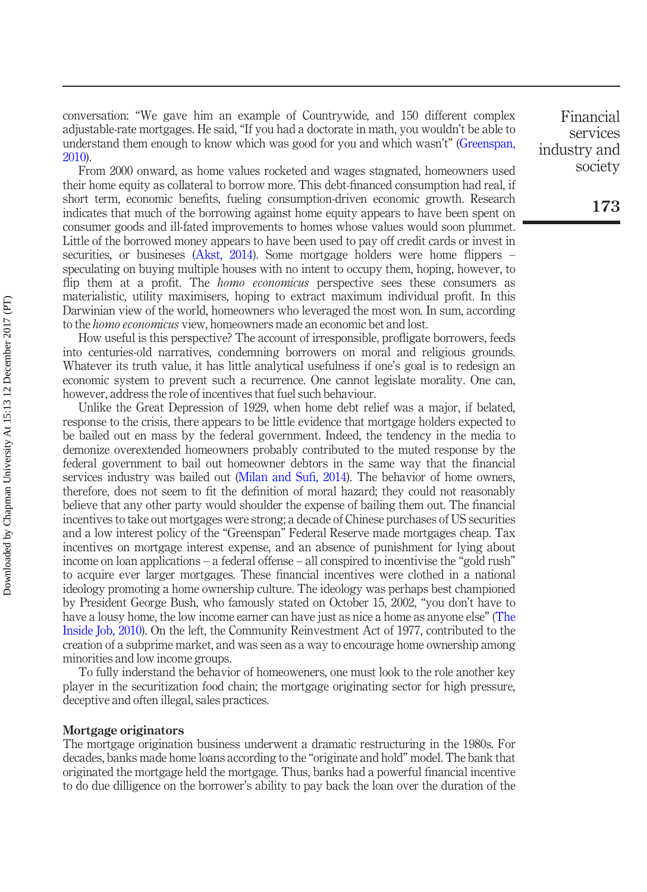conversation: "We gave him an example of Countrywide, and 150 different complex adjustable-rate mortgages. He said, "If you had a doctorate in math, you wouldn't be able to understand them enough to know which was good for you and which wasn't" ([Greenspan,](#page-22-10) [2010\)](#page-22-10).

From 2000 onward, as home values rocketed and wages stagnated, homeowners used their home equity as collateral to borrow more. This debt-financed consumption had real, if short term, economic benefits, fueling consumption-driven economic growth. Research indicates that much of the borrowing against home equity appears to have been spent on consumer goods and ill-fated improvements to homes whose values would soon plummet. Little of the borrowed money appears to have been used to pay off credit cards or invest in securities, or busineses [\(Akst, 2014\)](#page-21-13). Some mortgage holders were home flippers – speculating on buying multiple houses with no intent to occupy them, hoping, however, to flip them at a profit. The *homo economicus* perspective sees these consumers as materialistic, utility maximisers, hoping to extract maximum individual profit. In this Darwinian view of the world, homeowners who leveraged the most won. In sum, according to the homo economicus view, homeowners made an economic bet and lost.

How useful is this perspective? The account of irresponsible, profligate borrowers, feeds into centuries-old narratives, condemning borrowers on moral and religious grounds. Whatever its truth value, it has little analytical usefulness if one's goal is to redesign an economic system to prevent such a recurrence. One cannot legislate morality. One can, however, address the role of incentives that fuel such behaviour.

Unlike the Great Depression of 1929, when home debt relief was a major, if belated, response to the crisis, there appears to be little evidence that mortgage holders expected to be bailed out en mass by the federal government. Indeed, the tendency in the media to demonize overextended homeowners probably contributed to the muted response by the federal government to bail out homeowner debtors in the same way that the financial services industry was bailed out [\(Milan and Su](#page-22-8)fi, 2014). The behavior of home owners, therefore, does not seem to fit the definition of moral hazard; they could not reasonably believe that any other party would shoulder the expense of bailing them out. The financial incentives to take out mortgages were strong; a decade of Chinese purchases of US securities and a low interest policy of the "Greenspan" Federal Reserve made mortgages cheap. Tax incentives on mortgage interest expense, and an absence of punishment for lying about income on loan applications – a federal offense – all conspired to incentivise the "gold rush" to acquire ever larger mortgages. These financial incentives were clothed in a national ideology promoting a home ownership culture. The ideology was perhaps best championed by President George Bush, who famously stated on October 15, 2002, "you don't have to have a lousy home, the low income earner can have just as nice a home as anyone else" ([The](#page-24-1) [Inside Job, 2010](#page-24-1)). On the left, the Community Reinvestment Act of 1977, contributed to the creation of a subprime market, and was seen as a way to encourage home ownership among minorities and low income groups.

To fully inderstand the behavior of homeoweners, one must look to the role another key player in the securitization food chain; the mortgage originating sector for high pressure, deceptive and often illegal, sales practices.

#### Mortgage originators

The mortgage origination business underwent a dramatic restructuring in the 1980s. For decades, banks made home loans according to the "originate and hold" model. The bank that originated the mortgage held the mortgage. Thus, banks had a powerful financial incentive to do due dilligence on the borrower's ability to pay back the loan over the duration of the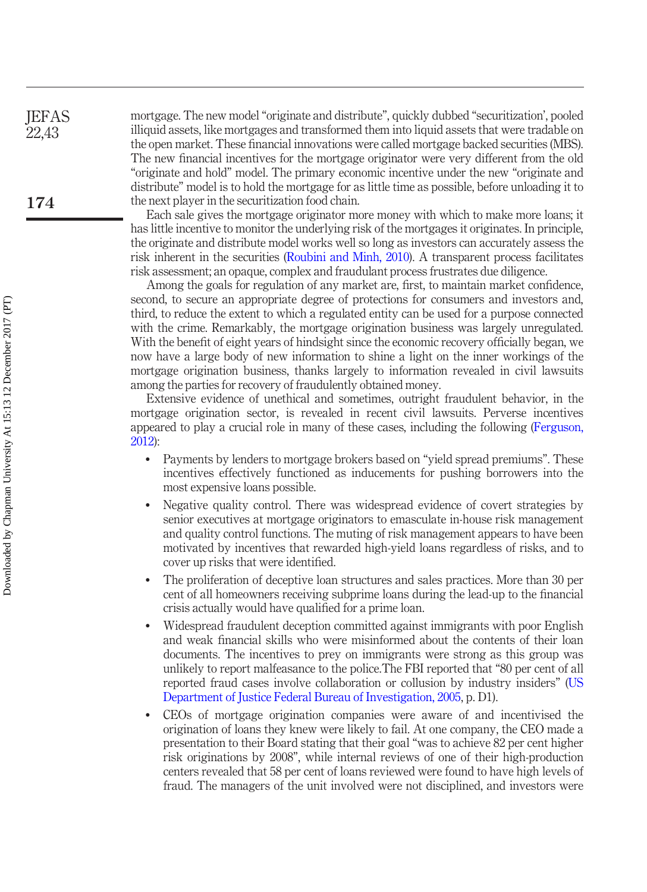mortgage. The new model "originate and distribute", quickly dubbed "securitization', pooled illiquid assets, like mortgages and transformed them into liquid assets that were tradable on the open market. These financial innovations were called mortgage backed securities (MBS). The new financial incentives for the mortgage originator were very different from the old "originate and hold" model. The primary economic incentive under the new "originate and distribute" model is to hold the mortgage for as little time as possible, before unloading it to the next player in the securitization food chain.

Each sale gives the mortgage originator more money with which to make more loans; it has little incentive to monitor the underlying risk of the mortgages it originates. In principle, the originate and distribute model works well so long as investors can accurately assess the risk inherent in the securities ([Roubini and Minh, 2010\)](#page-23-9). A transparent process facilitates risk assessment; an opaque, complex and fraudulant process frustrates due diligence.

Among the goals for regulation of any market are, first, to maintain market confidence, second, to secure an appropriate degree of protections for consumers and investors and, third, to reduce the extent to which a regulated entity can be used for a purpose connected with the crime. Remarkably, the mortgage origination business was largely unregulated. With the benefit of eight years of hindsight since the economic recovery officially began, we now have a large body of new information to shine a light on the inner workings of the mortgage origination business, thanks largely to information revealed in civil lawsuits among the parties for recovery of fraudulently obtained money.

Extensive evidence of unethical and sometimes, outright fraudulent behavior, in the mortgage origination sector, is revealed in recent civil lawsuits. Perverse incentives appeared to play a crucial role in many of these cases, including the following [\(Ferguson,](#page-21-1) [2012](#page-21-1)):

- Payments by lenders to mortgage brokers based on "yield spread premiums". These incentives effectively functioned as inducements for pushing borrowers into the most expensive loans possible.
- Negative quality control. There was widespread evidence of covert strategies by senior executives at mortgage originators to emasculate in-house risk management and quality control functions. The muting of risk management appears to have been motivated by incentives that rewarded high-yield loans regardless of risks, and to cover up risks that were identified.
- The proliferation of deceptive loan structures and sales practices. More than 30 per cent of all homeowners receiving subprime loans during the lead-up to the financial crisis actually would have qualified for a prime loan.
- Widespread fraudulent deception committed against immigrants with poor English and weak financial skills who were misinformed about the contents of their loan documents. The incentives to prey on immigrants were strong as this group was unlikely to report malfeasance to the police.The FBI reported that "80 per cent of all reported fraud cases involve collaboration or collusion by industry insiders" ([US](#page-24-2) [Department of Justice Federal Bureau of Investigation, 2005,](#page-24-2) p. D1).
- CEOs of mortgage origination companies were aware of and incentivised the origination of loans they knew were likely to fail. At one company, the CEO made a presentation to their Board stating that their goal "was to achieve 82 per cent higher risk originations by 2008", while internal reviews of one of their high-production centers revealed that 58 per cent of loans reviewed were found to have high levels of fraud. The managers of the unit involved were not disciplined, and investors were

174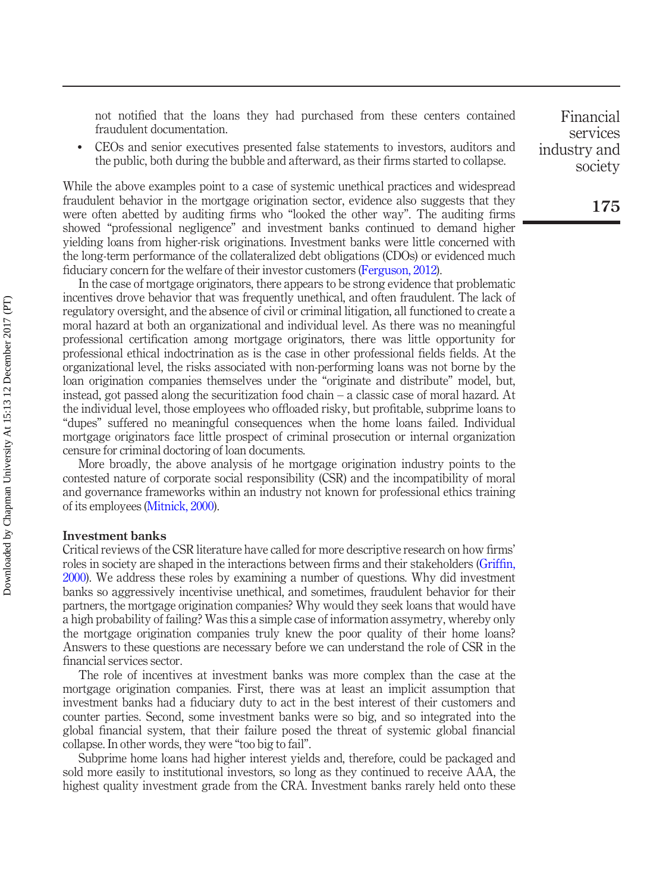not notified that the loans they had purchased from these centers contained fraudulent documentation.

 CEOs and senior executives presented false statements to investors, auditors and the public, both during the bubble and afterward, as their firms started to collapse.

While the above examples point to a case of systemic unethical practices and widespread fraudulent behavior in the mortgage origination sector, evidence also suggests that they were often abetted by auditing firms who "looked the other way". The auditing firms showed "professional negligence" and investment banks continued to demand higher yielding loans from higher-risk originations. Investment banks were little concerned with the long-term performance of the collateralized debt obligations (CDOs) or evidenced much fiduciary concern for the welfare of their investor customers ([Ferguson, 2012\)](#page-21-1).

In the case of mortgage originators, there appears to be strong evidence that problematic incentives drove behavior that was frequently unethical, and often fraudulent. The lack of regulatory oversight, and the absence of civil or criminal litigation, all functioned to create a moral hazard at both an organizational and individual level. As there was no meaningful professional certification among mortgage originators, there was little opportunity for professional ethical indoctrination as is the case in other professional fields fields. At the organizational level, the risks associated with non-performing loans was not borne by the loan origination companies themselves under the "originate and distribute" model, but, instead, got passed along the securitization food chain – a classic case of moral hazard. At the individual level, those employees who offloaded risky, but profitable, subprime loans to "dupes" suffered no meaningful consequences when the home loans failed. Individual mortgage originators face little prospect of criminal prosecution or internal organization censure for criminal doctoring of loan documents.

More broadly, the above analysis of he mortgage origination industry points to the contested nature of corporate social responsibility (CSR) and the incompatibility of moral and governance frameworks within an industry not known for professional ethics training of its employees [\(Mitnick, 2000](#page-23-10)).

#### Investment banks

Critical reviews of the CSR literature have called for more descriptive research on how firms' roles in society are shaped in the interactions between firms and their stakeholders ([Grif](#page-22-11)fin, [2000\)](#page-22-11). We address these roles by examining a number of questions. Why did investment banks so aggressively incentivise unethical, and sometimes, fraudulent behavior for their partners, the mortgage origination companies? Why would they seek loans that would have a high probability of failing? Was this a simple case of information assymetry, whereby only the mortgage origination companies truly knew the poor quality of their home loans? Answers to these questions are necessary before we can understand the role of CSR in the financial services sector.

The role of incentives at investment banks was more complex than the case at the mortgage origination companies. First, there was at least an implicit assumption that investment banks had a fiduciary duty to act in the best interest of their customers and counter parties. Second, some investment banks were so big, and so integrated into the global financial system, that their failure posed the threat of systemic global financial collapse. In other words, they were "too big to fail".

Subprime home loans had higher interest yields and, therefore, could be packaged and sold more easily to institutional investors, so long as they continued to receive AAA, the highest quality investment grade from the CRA. Investment banks rarely held onto these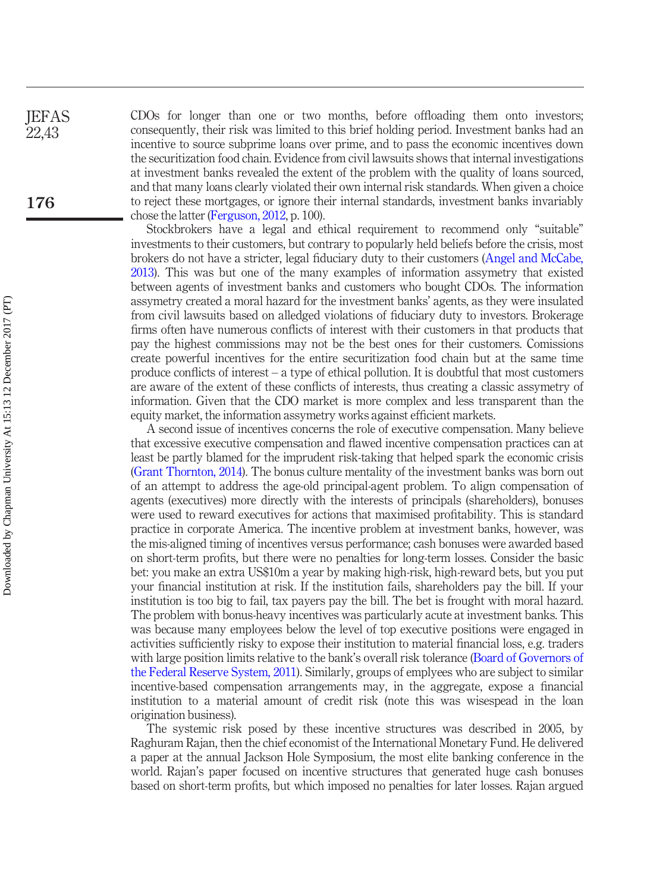CDOs for longer than one or two months, before offloading them onto investors; consequently, their risk was limited to this brief holding period. Investment banks had an incentive to source subprime loans over prime, and to pass the economic incentives down the securitization food chain. Evidence from civil lawsuits shows that internal investigations at investment banks revealed the extent of the problem with the quality of loans sourced, and that many loans clearly violated their own internal risk standards. When given a choice to reject these mortgages, or ignore their internal standards, investment banks invariably chose the latter ([Ferguson, 2012,](#page-21-1) p. 100).

Stockbrokers have a legal and ethical requirement to recommend only "suitable" investments to their customers, but contrary to popularly held beliefs before the crisis, most brokers do not have a stricter, legal fiduciary duty to their customers [\(Angel and McCabe,](#page-21-6) [2013](#page-21-6)). This was but one of the many examples of information assymetry that existed between agents of investment banks and customers who bought CDOs. The information assymetry created a moral hazard for the investment banks' agents, as they were insulated from civil lawsuits based on alledged violations of fiduciary duty to investors. Brokerage firms often have numerous conflicts of interest with their customers in that products that pay the highest commissions may not be the best ones for their customers. Comissions create powerful incentives for the entire securitization food chain but at the same time produce conflicts of interest – a type of ethical pollution. It is doubtful that most customers are aware of the extent of these conflicts of interests, thus creating a classic assymetry of information. Given that the CDO market is more complex and less transparent than the equity market, the information assymetry works against efficient markets.

A second issue of incentives concerns the role of executive compensation. Many believe that excessive executive compensation and flawed incentive compensation practices can at least be partly blamed for the imprudent risk-taking that helped spark the economic crisis [\(Grant Thornton, 2014\)](#page-22-12). The bonus culture mentality of the investment banks was born out of an attempt to address the age-old principal-agent problem. To align compensation of agents (executives) more directly with the interests of principals (shareholders), bonuses were used to reward executives for actions that maximised profitability. This is standard practice in corporate America. The incentive problem at investment banks, however, was the mis-aligned timing of incentives versus performance; cash bonuses were awarded based on short-term profits, but there were no penalties for long-term losses. Consider the basic bet: you make an extra US\$10m a year by making high-risk, high-reward bets, but you put your financial institution at risk. If the institution fails, shareholders pay the bill. If your institution is too big to fail, tax payers pay the bill. The bet is frought with moral hazard. The problem with bonus-heavy incentives was particularly acute at investment banks. This was because many employees below the level of top executive positions were engaged in activities sufficiently risky to expose their institution to material financial loss, e.g. traders with large position limits relative to the bank's overall risk tolerance [\(Board of Governors of](#page-21-10) [the Federal Reserve System, 2011](#page-21-10)). Similarly, groups of emplyees who are subject to similar incentive-based compensation arrangements may, in the aggregate, expose a financial institution to a material amount of credit risk (note this was wisespead in the loan origination business).

The systemic risk posed by these incentive structures was described in 2005, by Raghuram Rajan, then the chief economist of the International Monetary Fund. He delivered a paper at the annual Jackson Hole Symposium, the most elite banking conference in the world. Rajan's paper focused on incentive structures that generated huge cash bonuses based on short-term profits, but which imposed no penalties for later losses. Rajan argued

176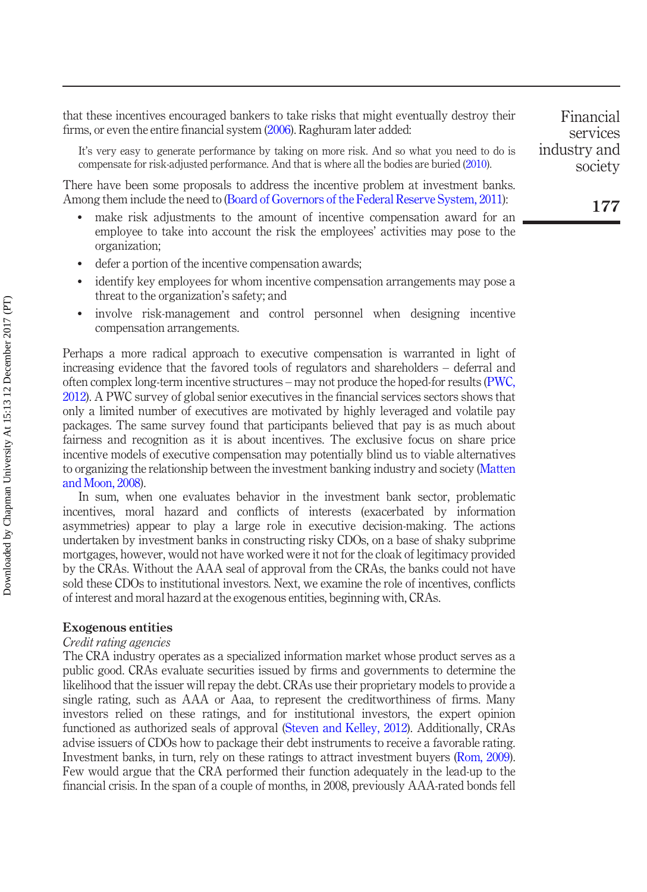that these incentives encouraged bankers to take risks that might eventually destroy their firms, or even the entire financial system [\(2006\)](#page-23-11). Raghuram later added:

It's very easy to generate performance by taking on more risk. And so what you need to do is compensate for risk-adjusted performance. And that is where all the bodies are buried [\(2010](#page-23-12)).

There have been some proposals to address the incentive problem at investment banks. Among them include the need to [\(Board of Governors of the Federal Reserve System, 2011](#page-21-10)):

- make risk adjustments to the amount of incentive compensation award for an employee to take into account the risk the employees' activities may pose to the organization;
- defer a portion of the incentive compensation awards;
- identify key employees for whom incentive compensation arrangements may pose a threat to the organization's safety; and
- involve risk-management and control personnel when designing incentive compensation arrangements.

Perhaps a more radical approach to executive compensation is warranted in light of increasing evidence that the favored tools of regulators and shareholders – deferral and often complex long-term incentive structures – may not produce the hoped-for results ([PWC,](#page-23-13) [2012\)](#page-23-13). A PWC survey of global senior executives in the financial services sectors shows that only a limited number of executives are motivated by highly leveraged and volatile pay packages. The same survey found that participants believed that pay is as much about fairness and recognition as it is about incentives. The exclusive focus on share price incentive models of executive compensation may potentially blind us to viable alternatives to organizing the relationship between the investment banking industry and society [\(Matten](#page-22-13) [and Moon, 2008](#page-22-13)).

In sum, when one evaluates behavior in the investment bank sector, problematic incentives, moral hazard and conflicts of interests (exacerbated by information asymmetries) appear to play a large role in executive decision-making. The actions undertaken by investment banks in constructing risky CDOs, on a base of shaky subprime mortgages, however, would not have worked were it not for the cloak of legitimacy provided by the CRAs. Without the AAA seal of approval from the CRAs, the banks could not have sold these CDOs to institutional investors. Next, we examine the role of incentives, conflicts of interest and moral hazard at the exogenous entities, beginning with, CRAs.

#### Exogenous entities

#### Credit rating agencies

The CRA industry operates as a specialized information market whose product serves as a public good. CRAs evaluate securities issued by firms and governments to determine the likelihood that the issuer will repay the debt. CRAs use their proprietary models to provide a single rating, such as AAA or Aaa, to represent the creditworthiness of firms. Many investors relied on these ratings, and for institutional investors, the expert opinion functioned as authorized seals of approval ([Steven and Kelley, 2012](#page-23-14)). Additionally, CRAs advise issuers of CDOs how to package their debt instruments to receive a favorable rating. Investment banks, in turn, rely on these ratings to attract investment buyers ([Rom, 2009\)](#page-23-15). Few would argue that the CRA performed their function adequately in the lead-up to the financial crisis. In the span of a couple of months, in 2008, previously AAA-rated bonds fell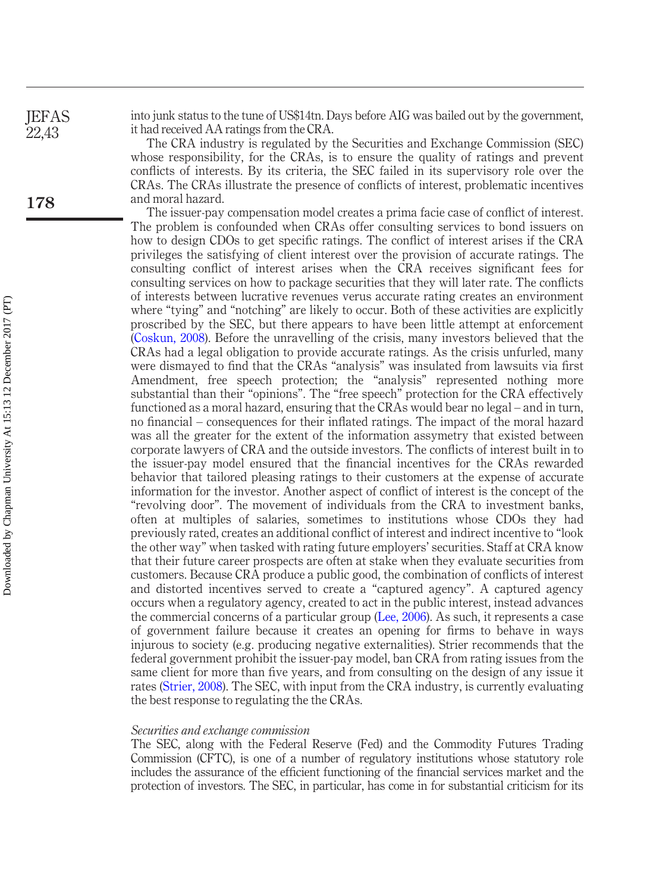into junk status to the tune of US\$14tn. Days before AIG was bailed out by the government, it had received AA ratings from the CRA.

> The CRA industry is regulated by the Securities and Exchange Commission (SEC) whose responsibility, for the CRAs, is to ensure the quality of ratings and prevent conflicts of interests. By its criteria, the SEC failed in its supervisory role over the CRAs. The CRAs illustrate the presence of conflicts of interest, problematic incentives and moral hazard.

> The issuer-pay compensation model creates a prima facie case of conflict of interest. The problem is confounded when CRAs offer consulting services to bond issuers on how to design CDOs to get specific ratings. The conflict of interest arises if the CRA privileges the satisfying of client interest over the provision of accurate ratings. The consulting conflict of interest arises when the CRA receives significant fees for consulting services on how to package securities that they will later rate. The conflicts of interests between lucrative revenues verus accurate rating creates an environment where "tying" and "notching" are likely to occur. Both of these activities are explicitly proscribed by the SEC, but there appears to have been little attempt at enforcement [\(Coskun, 2008](#page-21-14)). Before the unravelling of the crisis, many investors believed that the CRAs had a legal obligation to provide accurate ratings. As the crisis unfurled, many were dismayed to find that the CRAs "analysis" was insulated from lawsuits via first Amendment, free speech protection; the "analysis" represented nothing more substantial than their "opinions". The "free speech" protection for the CRA effectively functioned as a moral hazard, ensuring that the CRAs would bear no legal – and in turn, no financial – consequences for their inflated ratings. The impact of the moral hazard was all the greater for the extent of the information assymetry that existed between corporate lawyers of CRA and the outside investors. The conflicts of interest built in to the issuer-pay model ensured that the financial incentives for the CRAs rewarded behavior that tailored pleasing ratings to their customers at the expense of accurate information for the investor. Another aspect of conflict of interest is the concept of the "revolving door". The movement of individuals from the CRA to investment banks, often at multiples of salaries, sometimes to institutions whose CDOs they had previously rated, creates an additional conflict of interest and indirect incentive to "look the other way" when tasked with rating future employers' securities. Staff at CRA know that their future career prospects are often at stake when they evaluate securities from customers. Because CRA produce a public good, the combination of conflicts of interest and distorted incentives served to create a "captured agency". A captured agency occurs when a regulatory agency, created to act in the public interest, instead advances the commercial concerns of a particular group ([Lee, 2006](#page-22-14)). As such, it represents a case of government failure because it creates an opening for firms to behave in ways injurous to society (e.g. producing negative externalities). Strier recommends that the federal government prohibit the issuer-pay model, ban CRA from rating issues from the same client for more than five years, and from consulting on the design of any issue it rates [\(Strier, 2008\)](#page-24-3). The SEC, with input from the CRA industry, is currently evaluating the best response to regulating the the CRAs.

#### Securities and exchange commission

The SEC, along with the Federal Reserve (Fed) and the Commodity Futures Trading Commission (CFTC), is one of a number of regulatory institutions whose statutory role includes the assurance of the efficient functioning of the financial services market and the protection of investors. The SEC, in particular, has come in for substantial criticism for its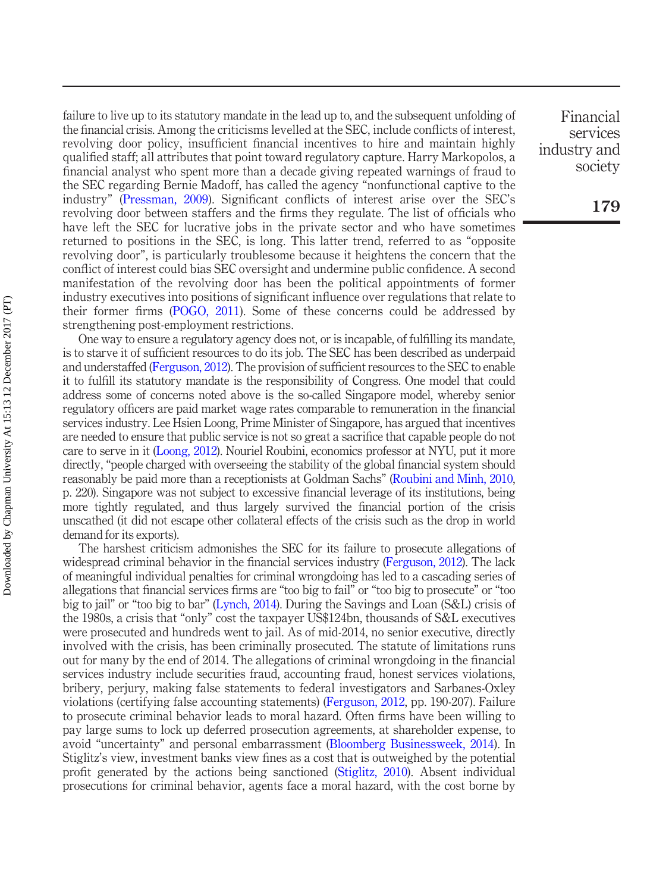failure to live up to its statutory mandate in the lead up to, and the subsequent unfolding of the financial crisis. Among the criticisms levelled at the SEC, include conflicts of interest, revolving door policy, insufficient financial incentives to hire and maintain highly qualified staff; all attributes that point toward regulatory capture. Harry Markopolos, a financial analyst who spent more than a decade giving repeated warnings of fraud to the SEC regarding Bernie Madoff, has called the agency "nonfunctional captive to the industry" ([Pressman, 2009\)](#page-23-16). Significant conflicts of interest arise over the SEC's revolving door between staffers and the firms they regulate. The list of officials who have left the SEC for lucrative jobs in the private sector and who have sometimes returned to positions in the SEC, is long. This latter trend, referred to as "opposite revolving door", is particularly troublesome because it heightens the concern that the conflict of interest could bias SEC oversight and undermine public confidence. A second manifestation of the revolving door has been the political appointments of former industry executives into positions of significant influence over regulations that relate to their former firms ([POGO, 2011\)](#page-23-17). Some of these concerns could be addressed by strengthening post-employment restrictions.

One way to ensure a regulatory agency does not, or is incapable, of fulfilling its mandate, is to starve it of sufficient resources to do its job. The SEC has been described as underpaid and understaffed [\(Ferguson, 2012](#page-21-1)). The provision of sufficient resources to the SEC to enable it to fulfill its statutory mandate is the responsibility of Congress. One model that could address some of concerns noted above is the so-called Singapore model, whereby senior regulatory officers are paid market wage rates comparable to remuneration in the financial services industry. Lee Hsien Loong, Prime Minister of Singapore, has argued that incentives are needed to ensure that public service is not so great a sacrifice that capable people do not care to serve in it [\(Loong, 2012](#page-22-15)). Nouriel Roubini, economics professor at NYU, put it more directly, "people charged with overseeing the stability of the global financial system should reasonably be paid more than a receptionists at Goldman Sachs" ([Roubini and Minh, 2010](#page-23-9), p. 220). Singapore was not subject to excessive financial leverage of its institutions, being more tightly regulated, and thus largely survived the financial portion of the crisis unscathed (it did not escape other collateral effects of the crisis such as the drop in world demand for its exports).

The harshest criticism admonishes the SEC for its failure to prosecute allegations of widespread criminal behavior in the financial services industry [\(Ferguson, 2012](#page-21-1)). The lack of meaningful individual penalties for criminal wrongdoing has led to a cascading series of allegations that financial services firms are "too big to fail" or "too big to prosecute" or "too big to jail" or "too big to bar" ([Lynch, 2014\)](#page-22-16). During the Savings and Loan (S&L) crisis of the 1980s, a crisis that "only" cost the taxpayer US\$124bn, thousands of S&L executives were prosecuted and hundreds went to jail. As of mid-2014, no senior executive, directly involved with the crisis, has been criminally prosecuted. The statute of limitations runs out for many by the end of 2014. The allegations of criminal wrongdoing in the financial services industry include securities fraud, accounting fraud, honest services violations, bribery, perjury, making false statements to federal investigators and Sarbanes-Oxley violations (certifying false accounting statements) [\(Ferguson, 2012,](#page-21-1) pp. 190-207). Failure to prosecute criminal behavior leads to moral hazard. Often firms have been willing to pay large sums to lock up deferred prosecution agreements, at shareholder expense, to avoid "uncertainty" and personal embarrassment [\(Bloomberg Businessweek, 2014\)](#page-21-15). In Stiglitz's view, investment banks view fines as a cost that is outweighed by the potential profit generated by the actions being sanctioned ([Stiglitz, 2010\)](#page-23-8). Absent individual prosecutions for criminal behavior, agents face a moral hazard, with the cost borne by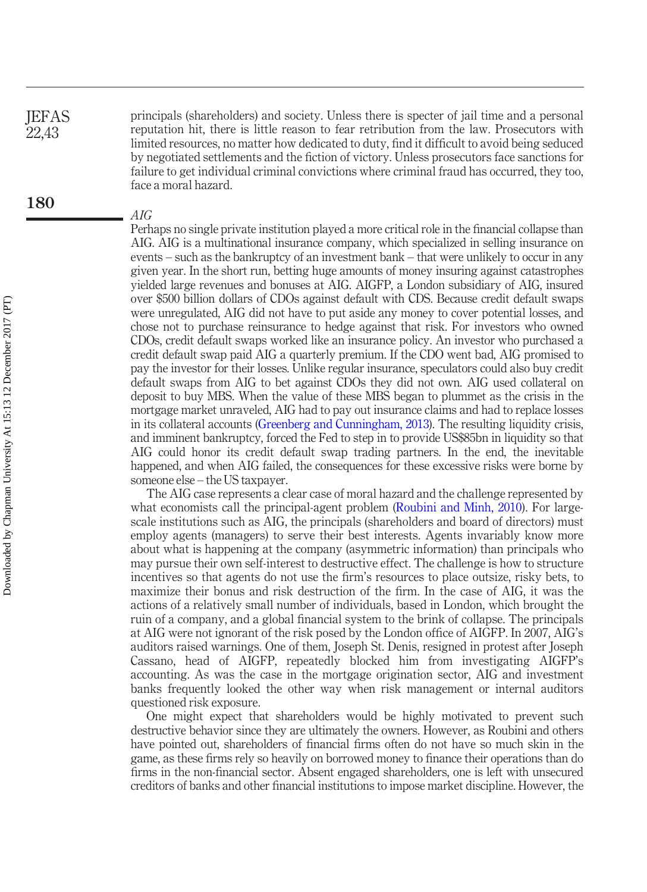principals (shareholders) and society. Unless there is specter of jail time and a personal reputation hit, there is little reason to fear retribution from the law. Prosecutors with limited resources, no matter how dedicated to duty, find it difficult to avoid being seduced by negotiated settlements and the fiction of victory. Unless prosecutors face sanctions for failure to get individual criminal convictions where criminal fraud has occurred, they too, face a moral hazard. **JEFAS** 22,43

#### AIG

Perhaps no single private institution played a more critical role in the financial collapse than AIG. AIG is a multinational insurance company, which specialized in selling insurance on events – such as the bankruptcy of an investment bank – that were unlikely to occur in any given year. In the short run, betting huge amounts of money insuring against catastrophes yielded large revenues and bonuses at AIG. AIGFP, a London subsidiary of AIG, insured over \$500 billion dollars of CDOs against default with CDS. Because credit default swaps were unregulated, AIG did not have to put aside any money to cover potential losses, and chose not to purchase reinsurance to hedge against that risk. For investors who owned CDOs, credit default swaps worked like an insurance policy. An investor who purchased a credit default swap paid AIG a quarterly premium. If the CDO went bad, AIG promised to pay the investor for their losses. Unlike regular insurance, speculators could also buy credit default swaps from AIG to bet against CDOs they did not own. AIG used collateral on deposit to buy MBS. When the value of these MBS began to plummet as the crisis in the mortgage market unraveled, AIG had to pay out insurance claims and had to replace losses in its collateral accounts [\(Greenberg and Cunningham, 2013](#page-22-17)). The resulting liquidity crisis, and imminent bankruptcy, forced the Fed to step in to provide US\$85bn in liquidity so that AIG could honor its credit default swap trading partners. In the end, the inevitable happened, and when AIG failed, the consequences for these excessive risks were borne by someone else – the US taxpayer.

The AIG case represents a clear case of moral hazard and the challenge represented by what economists call the principal-agent problem [\(Roubini and Minh, 2010](#page-23-9)). For largescale institutions such as AIG, the principals (shareholders and board of directors) must employ agents (managers) to serve their best interests. Agents invariably know more about what is happening at the company (asymmetric information) than principals who may pursue their own self-interest to destructive effect. The challenge is how to structure incentives so that agents do not use the firm's resources to place outsize, risky bets, to maximize their bonus and risk destruction of the firm. In the case of AIG, it was the actions of a relatively small number of individuals, based in London, which brought the ruin of a company, and a global financial system to the brink of collapse. The principals at AIG were not ignorant of the risk posed by the London office of AIGFP. In 2007, AIG's auditors raised warnings. One of them, Joseph St. Denis, resigned in protest after Joseph Cassano, head of AIGFP, repeatedly blocked him from investigating AIGFP's accounting. As was the case in the mortgage origination sector, AIG and investment banks frequently looked the other way when risk management or internal auditors questioned risk exposure.

One might expect that shareholders would be highly motivated to prevent such destructive behavior since they are ultimately the owners. However, as Roubini and others have pointed out, shareholders of financial firms often do not have so much skin in the game, as these firms rely so heavily on borrowed money to finance their operations than do firms in the non-financial sector. Absent engaged shareholders, one is left with unsecured creditors of banks and other financial institutions to impose market discipline. However, the

180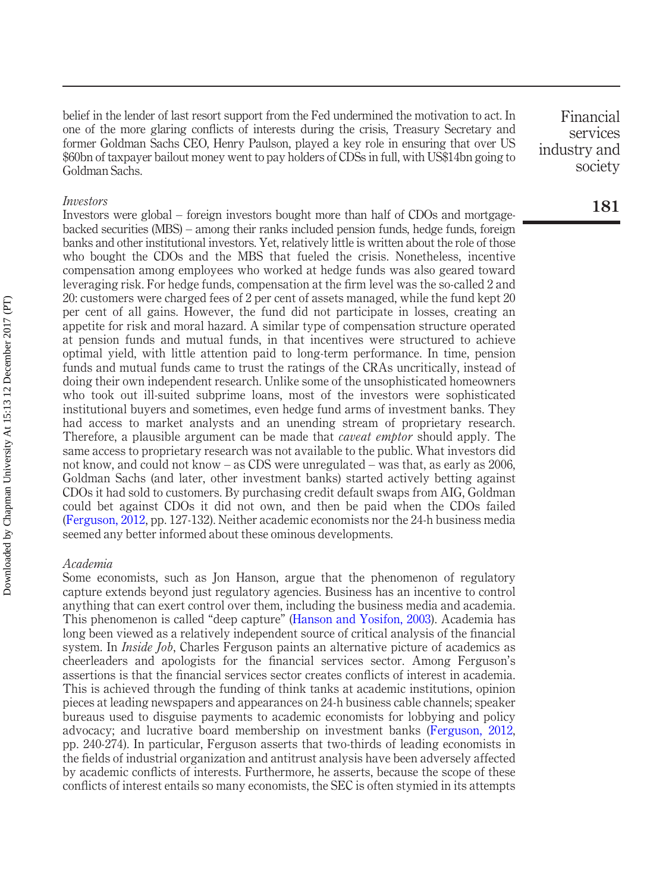belief in the lender of last resort support from the Fed undermined the motivation to act. In one of the more glaring conflicts of interests during the crisis, Treasury Secretary and former Goldman Sachs CEO, Henry Paulson, played a key role in ensuring that over US \$60bn of taxpayer bailout money went to pay holders of CDSs in full, with US\$14bn going to Goldman Sachs.

#### Investors

Investors were global – foreign investors bought more than half of CDOs and mortgagebacked securities (MBS) – among their ranks included pension funds, hedge funds, foreign banks and other institutional investors. Yet, relatively little is written about the role of those who bought the CDOs and the MBS that fueled the crisis. Nonetheless, incentive compensation among employees who worked at hedge funds was also geared toward leveraging risk. For hedge funds, compensation at the firm level was the so-called 2 and 20: customers were charged fees of 2 per cent of assets managed, while the fund kept 20 per cent of all gains. However, the fund did not participate in losses, creating an appetite for risk and moral hazard. A similar type of compensation structure operated at pension funds and mutual funds, in that incentives were structured to achieve optimal yield, with little attention paid to long-term performance. In time, pension funds and mutual funds came to trust the ratings of the CRAs uncritically, instead of doing their own independent research. Unlike some of the unsophisticated homeowners who took out ill-suited subprime loans, most of the investors were sophisticated institutional buyers and sometimes, even hedge fund arms of investment banks. They had access to market analysts and an unending stream of proprietary research. Therefore, a plausible argument can be made that *caveat emptor* should apply. The same access to proprietary research was not available to the public. What investors did not know, and could not know – as CDS were unregulated – was that, as early as 2006, Goldman Sachs (and later, other investment banks) started actively betting against CDOs it had sold to customers. By purchasing credit default swaps from AIG, Goldman could bet against CDOs it did not own, and then be paid when the CDOs failed ([Ferguson, 2012,](#page-21-1) pp. 127-132). Neither academic economists nor the 24-h business media seemed any better informed about these ominous developments.

#### Academia

Some economists, such as Jon Hanson, argue that the phenomenon of regulatory capture extends beyond just regulatory agencies. Business has an incentive to control anything that can exert control over them, including the business media and academia. This phenomenon is called "deep capture" [\(Hanson and Yosifon, 2003\)](#page-22-18). Academia has long been viewed as a relatively independent source of critical analysis of the financial system. In *Inside Job*, Charles Ferguson paints an alternative picture of academics as cheerleaders and apologists for the financial services sector. Among Ferguson's assertions is that the financial services sector creates conflicts of interest in academia. This is achieved through the funding of think tanks at academic institutions, opinion pieces at leading newspapers and appearances on 24-h business cable channels; speaker bureaus used to disguise payments to academic economists for lobbying and policy advocacy; and lucrative board membership on investment banks ([Ferguson, 2012](#page-21-1), pp. 240-274). In particular, Ferguson asserts that two-thirds of leading economists in the fields of industrial organization and antitrust analysis have been adversely affected by academic conflicts of interests. Furthermore, he asserts, because the scope of these conflicts of interest entails so many economists, the SEC is often stymied in its attempts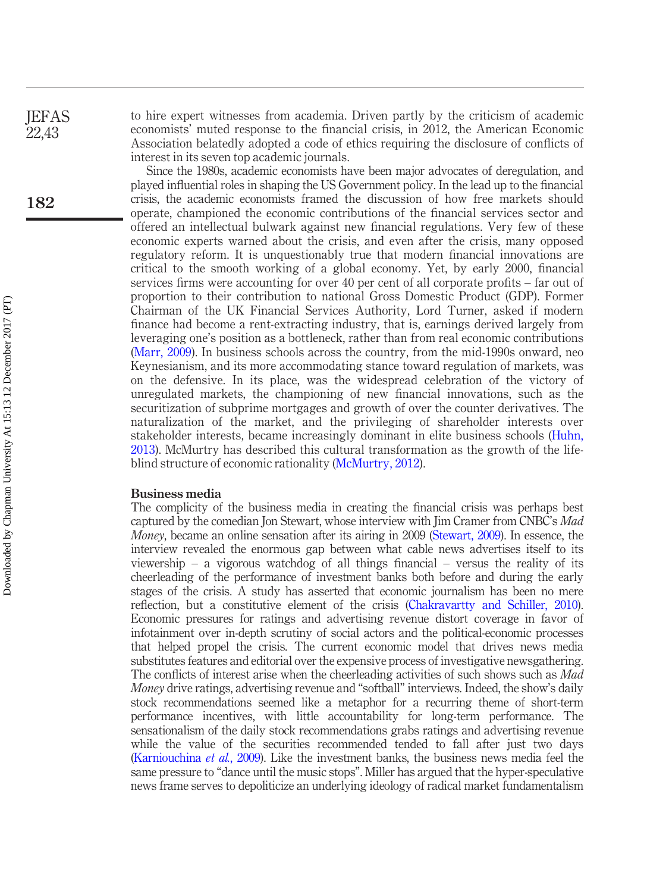to hire expert witnesses from academia. Driven partly by the criticism of academic economists' muted response to the financial crisis, in 2012, the American Economic Association belatedly adopted a code of ethics requiring the disclosure of conflicts of interest in its seven top academic journals.

Since the 1980s, academic economists have been major advocates of deregulation, and played influential roles in shaping the US Government policy. In the lead up to the financial crisis, the academic economists framed the discussion of how free markets should operate, championed the economic contributions of the financial services sector and offered an intellectual bulwark against new financial regulations. Very few of these economic experts warned about the crisis, and even after the crisis, many opposed regulatory reform. It is unquestionably true that modern financial innovations are critical to the smooth working of a global economy. Yet, by early 2000, financial services firms were accounting for over 40 per cent of all corporate profits – far out of proportion to their contribution to national Gross Domestic Product (GDP). Former Chairman of the UK Financial Services Authority, Lord Turner, asked if modern finance had become a rent-extracting industry, that is, earnings derived largely from leveraging one's position as a bottleneck, rather than from real economic contributions [\(Marr, 2009](#page-22-19)). In business schools across the country, from the mid-1990s onward, neo Keynesianism, and its more accommodating stance toward regulation of markets, was on the defensive. In its place, was the widespread celebration of the victory of unregulated markets, the championing of new financial innovations, such as the securitization of subprime mortgages and growth of over the counter derivatives. The naturalization of the market, and the privileging of shareholder interests over stakeholder interests, became increasingly dominant in elite business schools ([Huhn,](#page-22-4) [2013](#page-22-4)). McMurtry has described this cultural transformation as the growth of the lifeblind structure of economic rationality [\(McMurtry, 2012\)](#page-22-20).

#### Business media

The complicity of the business media in creating the financial crisis was perhaps best captured by the comedian Jon Stewart, whose interview with Jim Cramer from CNBC's Mad Money, became an online sensation after its airing in 2009 ([Stewart, 2009\)](#page-23-18). In essence, the interview revealed the enormous gap between what cable news advertises itself to its viewership – a vigorous watchdog of all things financial – versus the reality of its cheerleading of the performance of investment banks both before and during the early stages of the crisis. A study has asserted that economic journalism has been no mere reflection, but a constitutive element of the crisis ([Chakravartty and Schiller, 2010\)](#page-21-8). Economic pressures for ratings and advertising revenue distort coverage in favor of infotainment over in-depth scrutiny of social actors and the political-economic processes that helped propel the crisis. The current economic model that drives news media substitutes features and editorial over the expensive process of investigative newsgathering. The conflicts of interest arise when the cheerleading activities of such shows such as *Mad* Money drive ratings, advertising revenue and "softball" interviews. Indeed, the show's daily stock recommendations seemed like a metaphor for a recurring theme of short-term performance incentives, with little accountability for long-term performance. The sensationalism of the daily stock recommendations grabs ratings and advertising revenue while the value of the securities recommended tended to fall after just two days [\(Karniouchina](#page-22-21) et al., 2009). Like the investment banks, the business news media feel the same pressure to "dance until the music stops". Miller has argued that the hyper-speculative news frame serves to depoliticize an underlying ideology of radical market fundamentalism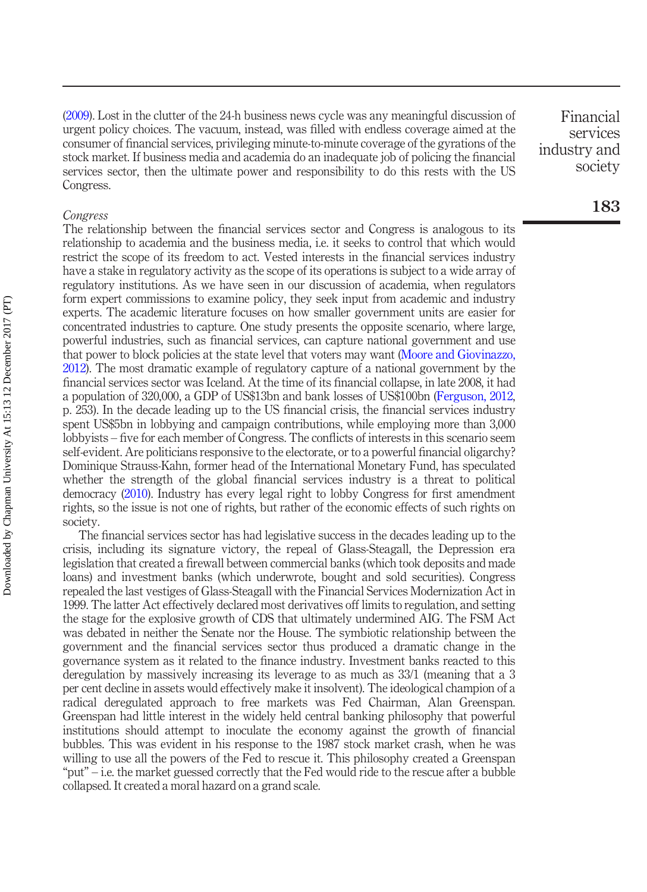[\(2009\)](#page-22-22). Lost in the clutter of the 24-h business news cycle was any meaningful discussion of urgent policy choices. The vacuum, instead, was filled with endless coverage aimed at the consumer of financial services, privileging minute-to-minute coverage of the gyrations of the stock market. If business media and academia do an inadequate job of policing the financial services sector, then the ultimate power and responsibility to do this rests with the US Congress.

#### Congress

The relationship between the financial services sector and Congress is analogous to its relationship to academia and the business media, i.e. it seeks to control that which would restrict the scope of its freedom to act. Vested interests in the financial services industry have a stake in regulatory activity as the scope of its operations is subject to a wide array of regulatory institutions. As we have seen in our discussion of academia, when regulators form expert commissions to examine policy, they seek input from academic and industry experts. The academic literature focuses on how smaller government units are easier for concentrated industries to capture. One study presents the opposite scenario, where large, powerful industries, such as financial services, can capture national government and use that power to block policies at the state level that voters may want [\(Moore and Giovinazzo,](#page-23-19) [2012\)](#page-23-19). The most dramatic example of regulatory capture of a national government by the financial services sector was Iceland. At the time of its financial collapse, in late 2008, it had a population of 320,000, a GDP of US\$13bn and bank losses of US\$100bn [\(Ferguson, 2012](#page-21-1), p. 253). In the decade leading up to the US financial crisis, the financial services industry spent US\$5bn in lobbying and campaign contributions, while employing more than 3,000 lobbyists – five for each member of Congress. The conflicts of interests in this scenario seem self-evident. Are politicians responsive to the electorate, or to a powerful financial oligarchy? Dominique Strauss-Kahn, former head of the International Monetary Fund, has speculated whether the strength of the global financial services industry is a threat to political democracy ([2010\)](#page-24-4). Industry has every legal right to lobby Congress for first amendment rights, so the issue is not one of rights, but rather of the economic effects of such rights on society.

The financial services sector has had legislative success in the decades leading up to the crisis, including its signature victory, the repeal of Glass-Steagall, the Depression era legislation that created a firewall between commercial banks (which took deposits and made loans) and investment banks (which underwrote, bought and sold securities). Congress repealed the last vestiges of Glass-Steagall with the Financial Services Modernization Act in 1999. The latter Act effectively declared most derivatives off limits to regulation, and setting the stage for the explosive growth of CDS that ultimately undermined AIG. The FSM Act was debated in neither the Senate nor the House. The symbiotic relationship between the government and the financial services sector thus produced a dramatic change in the governance system as it related to the finance industry. Investment banks reacted to this deregulation by massively increasing its leverage to as much as 33/1 (meaning that a 3 per cent decline in assets would effectively make it insolvent). The ideological champion of a radical deregulated approach to free markets was Fed Chairman, Alan Greenspan. Greenspan had little interest in the widely held central banking philosophy that powerful institutions should attempt to inoculate the economy against the growth of financial bubbles. This was evident in his response to the 1987 stock market crash, when he was willing to use all the powers of the Fed to rescue it. This philosophy created a Greenspan "put" – i.e. the market guessed correctly that the Fed would ride to the rescue after a bubble collapsed. It created a moral hazard on a grand scale.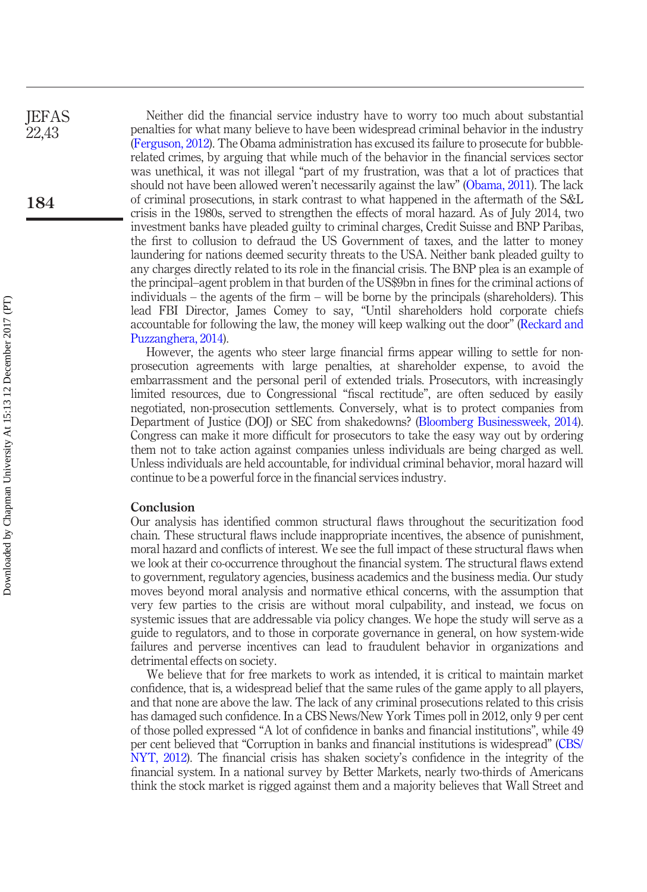Neither did the financial service industry have to worry too much about substantial penalties for what many believe to have been widespread criminal behavior in the industry [\(Ferguson, 2012\)](#page-21-1). The Obama administration has excused its failure to prosecute for bubblerelated crimes, by arguing that while much of the behavior in the financial services sector was unethical, it was not illegal "part of my frustration, was that a lot of practices that should not have been allowed weren't necessarily against the law" ([Obama, 2011](#page-23-20)). The lack of criminal prosecutions, in stark contrast to what happened in the aftermath of the S&L crisis in the 1980s, served to strengthen the effects of moral hazard. As of July 2014, two investment banks have pleaded guilty to criminal charges, Credit Suisse and BNP Paribas, the first to collusion to defraud the US Government of taxes, and the latter to money laundering for nations deemed security threats to the USA. Neither bank pleaded guilty to any charges directly related to its role in the financial crisis. The BNP plea is an example of the principal–agent problem in that burden of the US\$9bn in fines for the criminal actions of individuals – the agents of the firm – will be borne by the principals (shareholders). This lead FBI Director, James Comey to say, "Until shareholders hold corporate chiefs accountable for following the law, the money will keep walking out the door" [\(Reckard and](#page-23-21) [Puzzanghera, 2014](#page-23-21)).

However, the agents who steer large financial firms appear willing to settle for nonprosecution agreements with large penalties, at shareholder expense, to avoid the embarrassment and the personal peril of extended trials. Prosecutors, with increasingly limited resources, due to Congressional "fiscal rectitude", are often seduced by easily negotiated, non-prosecution settlements. Conversely, what is to protect companies from Department of Justice (DOJ) or SEC from shakedowns? [\(Bloomberg Businessweek, 2014\)](#page-21-15). Congress can make it more difficult for prosecutors to take the easy way out by ordering them not to take action against companies unless individuals are being charged as well. Unless individuals are held accountable, for individual criminal behavior, moral hazard will continue to be a powerful force in the financial services industry.

#### Conclusion

Our analysis has identified common structural flaws throughout the securitization food chain. These structural flaws include inappropriate incentives, the absence of punishment, moral hazard and conflicts of interest. We see the full impact of these structural flaws when we look at their co-occurrence throughout the financial system. The structural flaws extend to government, regulatory agencies, business academics and the business media. Our study moves beyond moral analysis and normative ethical concerns, with the assumption that very few parties to the crisis are without moral culpability, and instead, we focus on systemic issues that are addressable via policy changes. We hope the study will serve as a guide to regulators, and to those in corporate governance in general, on how system-wide failures and perverse incentives can lead to fraudulent behavior in organizations and detrimental effects on society.

We believe that for free markets to work as intended, it is critical to maintain market confidence, that is, a widespread belief that the same rules of the game apply to all players, and that none are above the law. The lack of any criminal prosecutions related to this crisis has damaged such confidence. In a CBS News/New York Times poll in 2012, only 9 per cent of those polled expressed "A lot of confidence in banks and financial institutions", while 49 per cent believed that "Corruption in banks and financial institutions is widespread" [\(CBS/](#page-21-16) [NYT, 2012](#page-21-16)). The financial crisis has shaken society's confidence in the integrity of the financial system. In a national survey by Better Markets, nearly two-thirds of Americans think the stock market is rigged against them and a majority believes that Wall Street and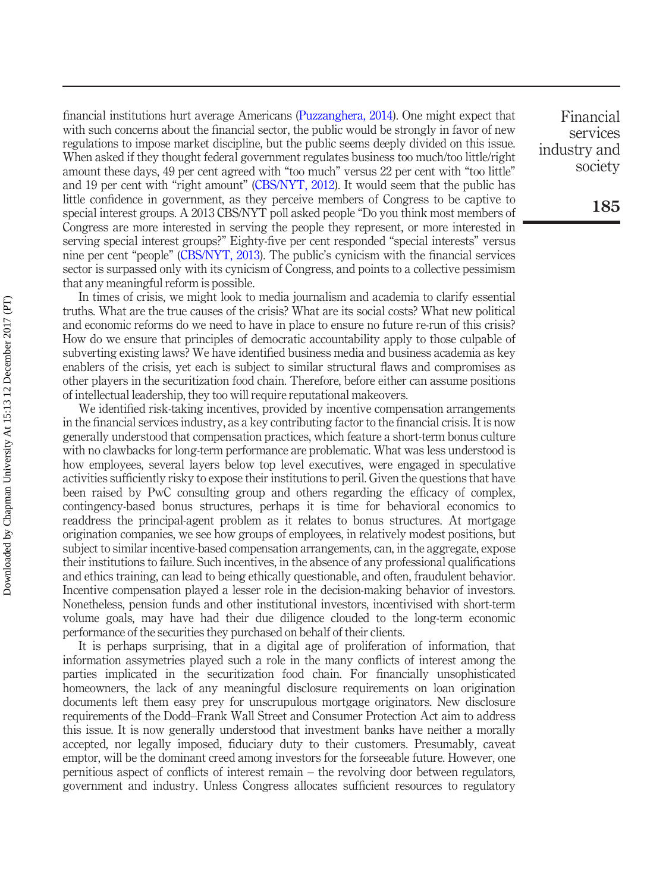financial institutions hurt average Americans [\(Puzzanghera, 2014\)](#page-23-0). One might expect that with such concerns about the financial sector, the public would be strongly in favor of new regulations to impose market discipline, but the public seems deeply divided on this issue. When asked if they thought federal government regulates business too much/too little/right amount these days, 49 per cent agreed with "too much" versus 22 per cent with "too little" and 19 per cent with "right amount" ([CBS/NYT, 2012](#page-21-16)). It would seem that the public has little confidence in government, as they perceive members of Congress to be captive to special interest groups. A 2013 CBS/NYT poll asked people "Do you think most members of Congress are more interested in serving the people they represent, or more interested in serving special interest groups?" Eighty-five per cent responded "special interests" versus nine per cent "people" ([CBS/NYT, 2013](#page-21-3)). The public's cynicism with the financial services sector is surpassed only with its cynicism of Congress, and points to a collective pessimism that any meaningful reform is possible.

In times of crisis, we might look to media journalism and academia to clarify essential truths. What are the true causes of the crisis? What are its social costs? What new political and economic reforms do we need to have in place to ensure no future re-run of this crisis? How do we ensure that principles of democratic accountability apply to those culpable of subverting existing laws? We have identified business media and business academia as key enablers of the crisis, yet each is subject to similar structural flaws and compromises as other players in the securitization food chain. Therefore, before either can assume positions of intellectual leadership, they too will require reputational makeovers.

We identified risk-taking incentives, provided by incentive compensation arrangements in the financial services industry, as a key contributing factor to the financial crisis. It is now generally understood that compensation practices, which feature a short-term bonus culture with no clawbacks for long-term performance are problematic. What was less understood is how employees, several layers below top level executives, were engaged in speculative activities sufficiently risky to expose their institutions to peril. Given the questions that have been raised by PwC consulting group and others regarding the efficacy of complex, contingency-based bonus structures, perhaps it is time for behavioral economics to readdress the principal-agent problem as it relates to bonus structures. At mortgage origination companies, we see how groups of employees, in relatively modest positions, but subject to similar incentive-based compensation arrangements, can, in the aggregate, expose their institutions to failure. Such incentives, in the absence of any professional qualifications and ethics training, can lead to being ethically questionable, and often, fraudulent behavior. Incentive compensation played a lesser role in the decision-making behavior of investors. Nonetheless, pension funds and other institutional investors, incentivised with short-term volume goals, may have had their due diligence clouded to the long-term economic performance of the securities they purchased on behalf of their clients.

It is perhaps surprising, that in a digital age of proliferation of information, that information assymetries played such a role in the many conflicts of interest among the parties implicated in the securitization food chain. For financially unsophisticated homeowners, the lack of any meaningful disclosure requirements on loan origination documents left them easy prey for unscrupulous mortgage originators. New disclosure requirements of the Dodd–Frank Wall Street and Consumer Protection Act aim to address this issue. It is now generally understood that investment banks have neither a morally accepted, nor legally imposed, fiduciary duty to their customers. Presumably, caveat emptor, will be the dominant creed among investors for the forseeable future. However, one pernitious aspect of conflicts of interest remain – the revolving door between regulators, government and industry. Unless Congress allocates sufficient resources to regulatory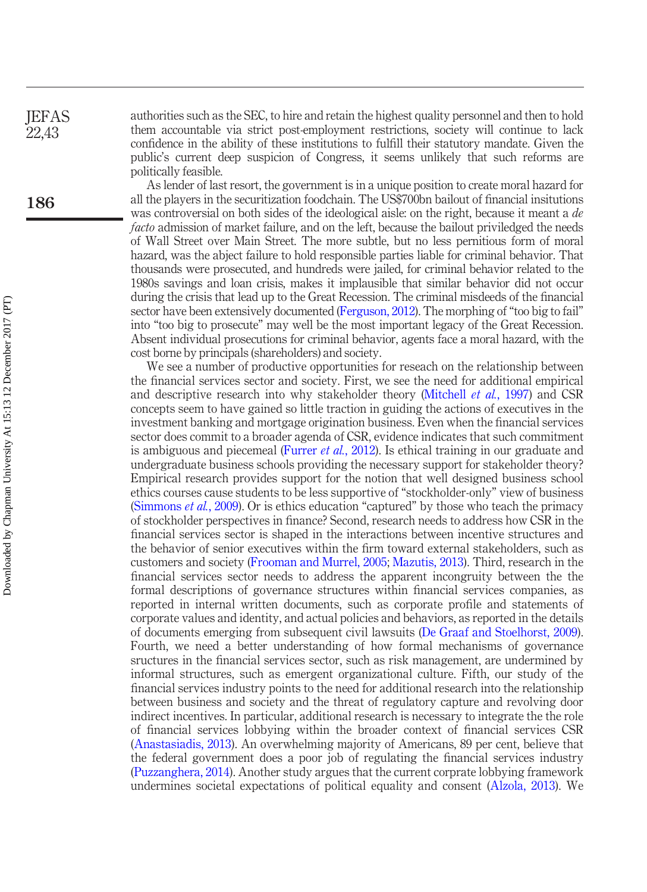authorities such as the SEC, to hire and retain the highest quality personnel and then to hold them accountable via strict post-employment restrictions, society will continue to lack confidence in the ability of these institutions to fulfill their statutory mandate. Given the public's current deep suspicion of Congress, it seems unlikely that such reforms are politically feasible.

As lender of last resort, the government is in a unique position to create moral hazard for all the players in the securitization foodchain. The US\$700bn bailout of financial insitutions was controversial on both sides of the ideological aisle: on the right, because it meant a de facto admission of market failure, and on the left, because the bailout priviledged the needs of Wall Street over Main Street. The more subtle, but no less pernitious form of moral hazard, was the abject failure to hold responsible parties liable for criminal behavior. That thousands were prosecuted, and hundreds were jailed, for criminal behavior related to the 1980s savings and loan crisis, makes it implausible that similar behavior did not occur during the crisis that lead up to the Great Recession. The criminal misdeeds of the financial sector have been extensively documented [\(Ferguson, 2012\)](#page-21-1). The morphing of "too big to fail" into "too big to prosecute" may well be the most important legacy of the Great Recession. Absent individual prosecutions for criminal behavior, agents face a moral hazard, with the cost borne by principals (shareholders) and society.

We see a number of productive opportunities for reseach on the relationship between the financial services sector and society. First, we see the need for additional empirical and descriptive research into why stakeholder theory ([Mitchell](#page-23-22) et al., 1997) and CSR concepts seem to have gained so little traction in guiding the actions of executives in the investment banking and mortgage origination business. Even when the financial services sector does commit to a broader agenda of CSR, evidence indicates that such commitment is ambiguous and piecemeal ([Furrer](#page-22-23) *et al.*, 2012). Is ethical training in our graduate and undergraduate business schools providing the necessary support for stakeholder theory? Empirical research provides support for the notion that well designed business school ethics courses cause students to be less supportive of "stockholder-only" view of business [\(Simmons](#page-23-23) *et al.*, 2009). Or is ethics education "captured" by those who teach the primacy of stockholder perspectives in finance? Second, research needs to address how CSR in the financial services sector is shaped in the interactions between incentive structures and the behavior of senior executives within the firm toward external stakeholders, such as customers and society [\(Frooman and Murrel, 2005](#page-21-17); [Mazutis, 2013\)](#page-22-24). Third, research in the financial services sector needs to address the apparent incongruity between the the formal descriptions of governance structures within financial services companies, as reported in internal written documents, such as corporate profile and statements of corporate values and identity, and actual policies and behaviors, as reported in the details of documents emerging from subsequent civil lawsuits ([De Graaf and Stoelhorst, 2009](#page-21-18)). Fourth, we need a better understanding of how formal mechanisms of governance sructures in the financial services sector, such as risk management, are undermined by informal structures, such as emergent organizational culture. Fifth, our study of the financial services industry points to the need for additional research into the relationship between business and society and the threat of regulatory capture and revolving door indirect incentives. In particular, additional research is necessary to integrate the the role of financial services lobbying within the broader context of financial services CSR [\(Anastasiadis, 2013](#page-21-19)). An overwhelming majority of Americans, 89 per cent, believe that the federal government does a poor job of regulating the financial services industry [\(Puzzanghera, 2014](#page-23-0)). Another study argues that the current corprate lobbying framework undermines societal expectations of political equality and consent ([Alzola, 2013](#page-21-0)). We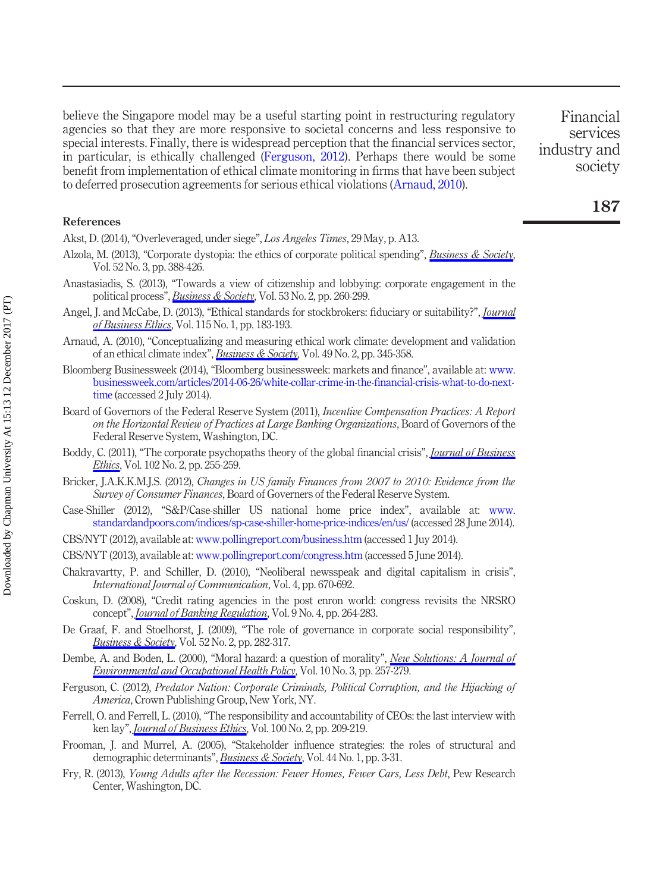believe the Singapore model may be a useful starting point in restructuring regulatory agencies so that they are more responsive to societal concerns and less responsive to special interests. Finally, there is widespread perception that the financial services sector, in particular, is ethically challenged ([Ferguson, 2012\)](#page-21-1). Perhaps there would be some benefit from implementation of ethical climate monitoring in firms that have been subject to deferred prosecution agreements for serious ethical violations ([Arnaud, 2010](#page-21-2)).

Financial services industry and society

#### References

<span id="page-21-13"></span>Akst, D. (2014), "Overleveraged, under siege", Los Angeles Times, 29 May, p. A13.

- <span id="page-21-0"></span>Alzola, M. (2013), "Corporate dystopia: the ethics of corporate political spending", [Business & Society](http://www.emeraldinsight.com/action/showLinks?doi=10.1108%2FJEFAS-02-2017-0027&crossref=10.1177%2F0007650312474952&citationId=p_2), Vol. 52 No. 3, pp. 388-426.
- <span id="page-21-19"></span>Anastasiadis, S. (2013), "Towards a view of citizenship and lobbying: corporate engagement in the political process", *[Business & Society](http://www.emeraldinsight.com/action/showLinks?doi=10.1108%2FJEFAS-02-2017-0027&crossref=10.1177%2F0007650313483495&citationId=p_3)*, Vol. 53 No. 2, pp. 260-299.
- <span id="page-21-6"></span>Angel, J. and McCabe, D. (2013), "Ethical standards for stockbrokers: fiduciary or suitability?", *[Journal](http://www.emeraldinsight.com/action/showLinks?doi=10.1108%2FJEFAS-02-2017-0027&crossref=10.1007%2Fs10551-012-1362-y&citationId=p_4)* [of Business Ethics](http://www.emeraldinsight.com/action/showLinks?doi=10.1108%2FJEFAS-02-2017-0027&crossref=10.1007%2Fs10551-012-1362-y&citationId=p_4), Vol. 115 No. 1, pp. 183-193.
- <span id="page-21-2"></span>Arnaud, A. (2010), "Conceptualizing and measuring ethical work climate: development and validation of an ethical climate index", [Business & Society](http://www.emeraldinsight.com/action/showLinks?doi=10.1108%2FJEFAS-02-2017-0027&crossref=10.1177%2F0007650310362865&citationId=p_5), Vol. 49 No. 2, pp. 345-358.
- <span id="page-21-15"></span>Bloomberg Businessweek (2014), "Bloomberg businessweek: markets and finance", available at: [www.](http://www.businessweek.com/articles/2014-06-26/white-collar-crime-in-the-financial-crisis-what-to-do-next-time) [businessweek.com/articles/2014-06-26/white-collar-crime-in-the-](http://www.businessweek.com/articles/2014-06-26/white-collar-crime-in-the-financial-crisis-what-to-do-next-time)financial-crisis-what-to-do-next[time](http://www.businessweek.com/articles/2014-06-26/white-collar-crime-in-the-financial-crisis-what-to-do-next-time) (accessed 2 July 2014).
- <span id="page-21-10"></span>Board of Governors of the Federal Reserve System (2011), Incentive Compensation Practices: A Report on the Horizontal Review of Practices at Large Banking Organizations, Board of Governors of the Federal Reserve System, Washington, DC.
- <span id="page-21-9"></span>Boddy, C. (2011), "The corporate psychopaths theory of the global financial crisis", *[Journal of Business](http://www.emeraldinsight.com/action/showLinks?doi=10.1108%2FJEFAS-02-2017-0027&crossref=10.1007%2Fs10551-011-0810-4&citationId=p_8)* [Ethics](http://www.emeraldinsight.com/action/showLinks?doi=10.1108%2FJEFAS-02-2017-0027&crossref=10.1007%2Fs10551-011-0810-4&citationId=p_8), Vol. 102 No. 2, pp. 255-259.
- <span id="page-21-4"></span>Bricker, J.A.K.K.M.J.S. (2012), Changes in US family Finances from 2007 to 2010: Evidence from the Survey of Consumer Finances, Board of Governers of the Federal Reserve System.
- <span id="page-21-12"></span>Case-Shiller (2012), "S&P/Case-shiller US national home price index", available at: [www.](http://www.standardandpoors.com/indices/sp-case-shiller-home-price-indices/en/us/) [standardandpoors.com/indices/sp-case-shiller-home-price-indices/en/us/](http://www.standardandpoors.com/indices/sp-case-shiller-home-price-indices/en/us/) (accessed 28 June 2014).
- <span id="page-21-16"></span>CBS/NYT (2012), available at: www.pollingreport.com/business.htm (accessed 1 Juy 2014).
- <span id="page-21-3"></span>CBS/NYT (2013), available at: [www.pollingreport.com/congress.htm](http://www.pollingreport.com/congress.htm) (accessed 5 June 2014).
- <span id="page-21-8"></span>Chakravartty, P. and Schiller, D. (2010), "Neoliberal newsspeak and digital capitalism in crisis", International Journal of Communication, Vol. 4, pp. 670-692.
- <span id="page-21-14"></span>Coskun, D. (2008), "Credit rating agencies in the post enron world: congress revisits the NRSRO concept", *[Journal of Banking Regulation](http://www.emeraldinsight.com/action/showLinks?doi=10.1108%2FJEFAS-02-2017-0027&crossref=10.1057%2Fjbr.2008.17&citationId=p_14)*, Vol. 9 No. 4, pp. 264-283.
- <span id="page-21-18"></span>De Graaf, F. and Stoelhorst, J. (2009), "The role of governance in corporate social responsibility", **[Business & Society](http://www.emeraldinsight.com/action/showLinks?doi=10.1108%2FJEFAS-02-2017-0027&crossref=10.1177%2F0007650309336451&citationId=p_15)**, Vol. 52 No. 2, pp. 282-317.
- <span id="page-21-11"></span>Dembe, A. and Boden, L. (2000), "Moral hazard: a question of morality", [New Solutions: A Journal of](http://www.emeraldinsight.com/action/showLinks?doi=10.1108%2FJEFAS-02-2017-0027&crossref=10.2190%2F1GU8-EQN8-02J6-2RXK&citationId=p_16) [Environmental and Occupational Health Policy](http://www.emeraldinsight.com/action/showLinks?doi=10.1108%2FJEFAS-02-2017-0027&crossref=10.2190%2F1GU8-EQN8-02J6-2RXK&citationId=p_16), Vol. 10 No. 3, pp. 257-279.
- <span id="page-21-1"></span>Ferguson, C. (2012), Predator Nation: Corporate Criminals, Political Corruption, and the Hijacking of America, Crown Publishing Group, New York, NY.
- <span id="page-21-7"></span>Ferrell, O. and Ferrell, L. (2010), "The responsibility and accountability of CEOs: the last interview with ken lay", *[Journal of Business Ethics](http://www.emeraldinsight.com/action/showLinks?doi=10.1108%2FJEFAS-02-2017-0027&crossref=10.1007%2Fs10551-010-0675-y&citationId=p_18)*, Vol. 100 No. 2, pp. 209-219.
- <span id="page-21-17"></span>Frooman, J. and Murrel, A. (2005), "Stakeholder influence strategies: the roles of structural and demographic determinants", *[Business & Society](http://www.emeraldinsight.com/action/showLinks?doi=10.1108%2FJEFAS-02-2017-0027&crossref=10.1177%2F0007650304273434&citationId=p_19)*, Vol. 44 No. 1, pp. 3-31.
- <span id="page-21-5"></span>Fry, R. (2013), Young Adults after the Recession: Fewer Homes, Fewer Cars, Less Debt, Pew Research Center, Washington, DC.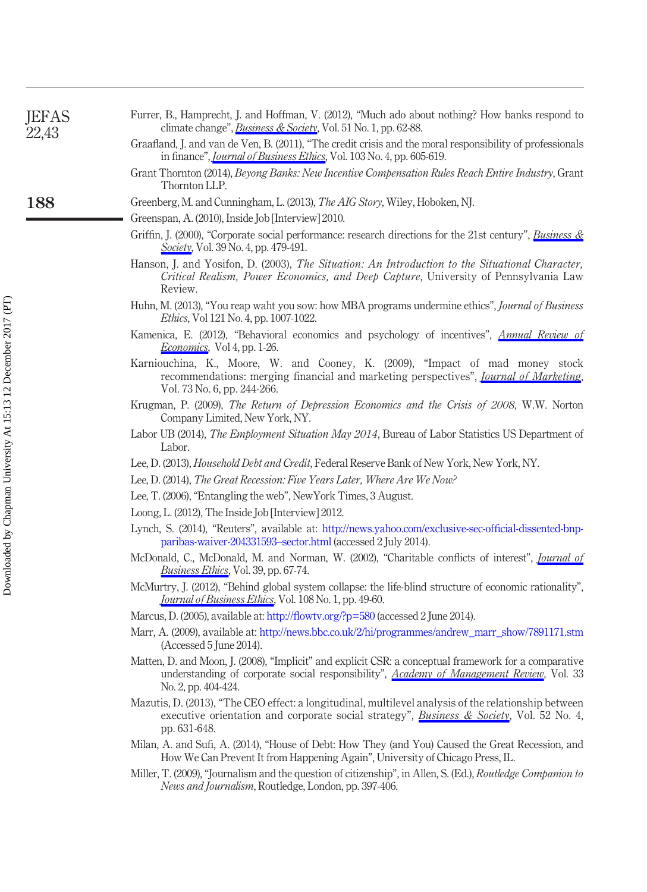<span id="page-22-24"></span><span id="page-22-23"></span><span id="page-22-22"></span><span id="page-22-21"></span><span id="page-22-20"></span><span id="page-22-19"></span><span id="page-22-18"></span><span id="page-22-17"></span><span id="page-22-16"></span><span id="page-22-15"></span><span id="page-22-14"></span><span id="page-22-13"></span><span id="page-22-12"></span><span id="page-22-11"></span><span id="page-22-10"></span><span id="page-22-9"></span><span id="page-22-8"></span><span id="page-22-7"></span><span id="page-22-6"></span><span id="page-22-5"></span><span id="page-22-4"></span><span id="page-22-3"></span><span id="page-22-2"></span><span id="page-22-1"></span><span id="page-22-0"></span>

| <b>JEFAS</b><br>22,43 | Furrer, B., Hamprecht, J. and Hoffman, V. (2012), "Much ado about nothing? How banks respond to<br>climate change", <i>Business &amp; Society</i> , Vol. 51 No. 1, pp. 62-88.                                            |
|-----------------------|--------------------------------------------------------------------------------------------------------------------------------------------------------------------------------------------------------------------------|
|                       | Graafland, J. and van de Ven, B. (2011), "The credit crisis and the moral responsibility of professionals<br>in finance", <i>Journal of Business Ethics</i> , Vol. 103 No. 4, pp. 605-619.                               |
|                       | Grant Thornton (2014), Beyong Banks: New Incentive Compensation Rules Reach Entire Industry, Grant<br>Thornton LLP.                                                                                                      |
| 188                   | Greenberg, M. and Cunningham, L. (2013), <i>The AIG Story</i> , Wiley, Hoboken, NJ.                                                                                                                                      |
|                       | Greenspan, A. (2010), Inside Job [Interview] 2010.                                                                                                                                                                       |
|                       | Griffin, J. (2000), "Corporate social performance: research directions for the 21st century", <i>Business &amp;</i><br>Society, Vol. 39 No. 4, pp. 479-491.                                                              |
|                       | Hanson, J. and Yosifon, D. (2003), The Situation: An Introduction to the Situational Character,<br>Critical Realism, Power Economics, and Deep Capture, University of Pennsylvania Law<br>Review.                        |
|                       | Huhn, M. (2013), "You reap waht you sow: how MBA programs undermine ethics", Journal of Business<br><i>Ethics</i> , Vol 121 No. 4, pp. 1007-1022.                                                                        |
|                       | Kamenica, E. (2012), "Behavioral economics and psychology of incentives", <i>Annual Review of</i><br>Economics, Vol 4, pp. 1-26.                                                                                         |
|                       | Karniouchina, K., Moore, W. and Cooney, K. (2009), "Impact of mad money stock<br>recommendations: merging financial and marketing perspectives", <i>Journal of Marketing</i> ,<br>Vol. 73 No. 6, pp. 244-266.            |
|                       | Krugman, P. (2009), The Return of Depression Economics and the Crisis of 2008, W.W. Norton<br>Company Limited, New York, NY.                                                                                             |
|                       | Labor UB (2014), The Employment Situation May 2014, Bureau of Labor Statistics US Department of<br>Labor.                                                                                                                |
|                       | Lee, D. (2013), <i>Household Debt and Credit</i> , Federal Reserve Bank of New York, New York, NY.                                                                                                                       |
|                       | Lee, D. (2014), The Great Recession: Five Years Later, Where Are We Now?                                                                                                                                                 |
|                       | Lee, T. (2006), "Entangling the web", New York Times, 3 August.                                                                                                                                                          |
|                       | Loong, L. (2012), The Inside Job [Interview] 2012.                                                                                                                                                                       |
|                       | Lynch, S. (2014), "Reuters", available at: http://news.yahoo.com/exclusive-sec-official-dissented-bnp-<br>paribas-waiver-204331593-sector.html (accessed 2 July 2014).                                                   |
|                       | McDonald, C., McDonald, M. and Norman, W. (2002), "Charitable conflicts of interest", <i>Journal of</i><br><b>Business Ethics</b> , Vol. 39, pp. 67-74.                                                                  |
|                       | McMurtry, J. (2012), "Behind global system collapse: the life-blind structure of economic rationality",<br><i><u><b>Journal of Business Ethics</b></u></i> , Vol. 108 No. 1, pp. 49-60.                                  |
|                       | Marcus, D. (2005), available at: http://flowtv.org/?p=580 (accessed 2 June 2014).                                                                                                                                        |
|                       | Marr, A. (2009), available at: http://news.bbc.co.uk/2/hi/programmes/andrew_marr_show/7891171.stm<br>(Accessed 5 June 2014).                                                                                             |
|                       | Matten, D. and Moon, J. (2008), "Implicit" and explicit CSR: a conceptual framework for a comparative<br>understanding of corporate social responsibility", Academy of Management Review, Vol. 33<br>No. 2, pp. 404-424. |
|                       | Mazutis, D. (2013), "The CEO effect: a longitudinal, multilevel analysis of the relationship between<br>executive orientation and corporate social strategy", Business & Society, Vol. 52 No. 4,<br>pp. 631-648.         |
|                       | Milan, A. and Sufi, A. (2014), "House of Debt: How They (and You) Caused the Great Recession, and<br>How We Can Prevent It from Happening Again", University of Chicago Press, IL.                                       |
|                       | Miller, T. (2009), "Journalism and the question of citizenship", in Allen, S. (Ed.), Routledge Companion to<br>News and Journalism, Routledge, London, pp. 397-406.                                                      |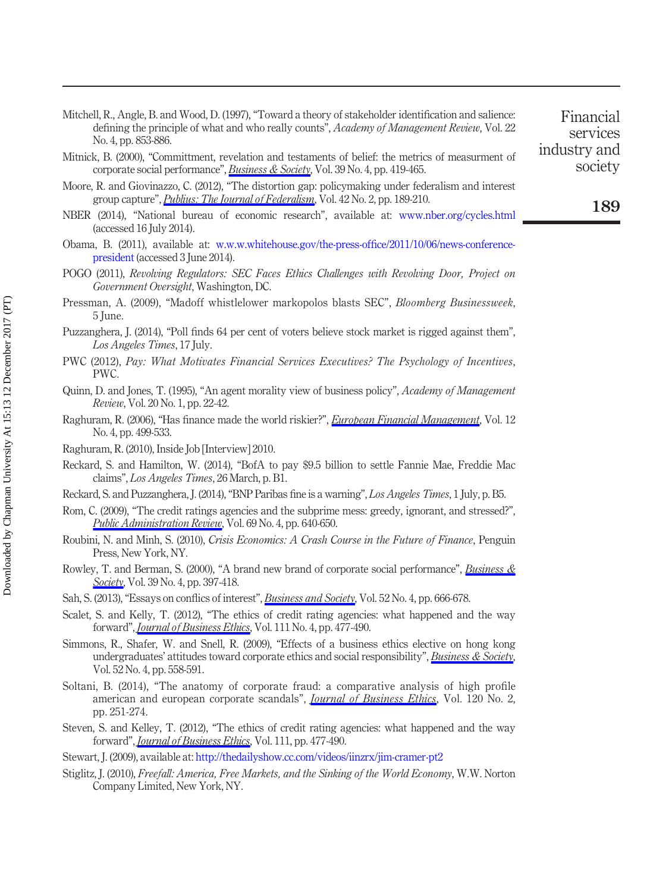- <span id="page-23-22"></span>Mitchell, R., Angle, B. and Wood, D. (1997), "Toward a theory of stakeholder identification and salience: defining the principle of what and who really counts", Academy of Management Review, Vol. 22 No. 4, pp. 853-886.
- <span id="page-23-10"></span>Mitnick, B. (2000), "Committment, revelation and testaments of belief: the metrics of measurment of corporate social performance", [Business & Society](http://www.emeraldinsight.com/action/showLinks?doi=10.1108%2FJEFAS-02-2017-0027&crossref=10.1177%2F000765030003900405&citationId=p_47), Vol. 39 No. 4, pp. 419-465.
- <span id="page-23-19"></span>Moore, R. and Giovinazzo, C. (2012), "The distortion gap: policymaking under federalism and interest group capture", *[Publius: The Journal of Federalism](http://www.emeraldinsight.com/action/showLinks?doi=10.1108%2FJEFAS-02-2017-0027&crossref=10.1093%2Fpublius%2Fpjr037&citationId=p_48)*, Vol. 42 No. 2, pp. 189-210.
- <span id="page-23-1"></span>NBER (2014), "National bureau of economic research", available at: [www.nber.org/cycles.html](http://www.nber.org/cycles.html) (accessed 16 July 2014).
- <span id="page-23-20"></span>Obama, B. (2011), available at: [w.w.w.whitehouse.gov/the-press-of](http://w.w.w.whitehouse.gov/the-press-office/2011/10/06/news-conference-president)fice/2011/10/06/news-conference[president](http://w.w.w.whitehouse.gov/the-press-office/2011/10/06/news-conference-president) (accessed 3 June 2014).
- <span id="page-23-17"></span>POGO (2011), Revolving Regulators: SEC Faces Ethics Challenges with Revolving Door, Project on Government Oversight, Washington, DC.
- <span id="page-23-16"></span>Pressman, A. (2009), "Madoff whistlelower markopolos blasts SEC", Bloomberg Businessweek, 5 June.
- <span id="page-23-0"></span>Puzzanghera, J. (2014), "Poll finds 64 per cent of voters believe stock market is rigged against them", Los Angeles Times, 17 July.
- <span id="page-23-13"></span>PWC (2012), Pay: What Motivates Financial Services Executives? The Psychology of Incentives, PWC.
- <span id="page-23-7"></span>Quinn, D. and Jones, T. (1995), "An agent morality view of business policy", Academy of Management Review, Vol. 20 No. 1, pp. 22-42.
- <span id="page-23-11"></span>Raghuram, R. (2006), "Has finance made the world riskier?", *[European Financial Management](http://www.emeraldinsight.com/action/showLinks?doi=10.1108%2FJEFAS-02-2017-0027&crossref=10.1111%2Fj.1468-036X.2006.00330.x&citationId=p_56)*, Vol. 12 No. 4, pp. 499-533.
- <span id="page-23-12"></span>Raghuram, R. (2010), Inside Job [Interview] 2010.
- <span id="page-23-5"></span>Reckard, S. and Hamilton, W. (2014), "BofA to pay \$9.5 billion to settle Fannie Mae, Freddie Mac claims", Los Angeles Times, 26 March, p. B1.
- <span id="page-23-21"></span>Reckard, S. and Puzzanghera, J. (2014),"BNP Paribas fine is a warning", Los Angeles Times, 1 July, p. B5.
- <span id="page-23-15"></span>Rom, C. (2009), "The credit ratings agencies and the subprime mess: greedy, ignorant, and stressed?", [Public Administration Review](http://www.emeraldinsight.com/action/showLinks?doi=10.1108%2FJEFAS-02-2017-0027&crossref=10.1111%2Fj.1540-6210.2009.02013.x&citationId=p_60), Vol. 69 No. 4, pp. 640-650.
- <span id="page-23-9"></span>Roubini, N. and Minh, S. (2010), Crisis Economics: A Crash Course in the Future of Finance, Penguin Press, New York, NY.
- <span id="page-23-4"></span>Rowley, T. and Berman, S. (2000), "A brand new brand of corporate social performance", Business  $\&$ [Society](http://www.emeraldinsight.com/action/showLinks?doi=10.1108%2FJEFAS-02-2017-0027&crossref=10.1177%2F000765030003900404&citationId=p_62), Vol. 39 No. 4, pp. 397-418.
- <span id="page-23-6"></span>Sah, S. (2013), "Essays on conflics of interest", *[Business and Society](http://www.emeraldinsight.com/action/showLinks?doi=10.1108%2FJEFAS-02-2017-0027&crossref=10.1177%2F0007650313496366&citationId=p_63)*, Vol. 52 No. 4, pp. 666-678.
- <span id="page-23-3"></span>Scalet, S. and Kelly, T. (2012), "The ethics of credit rating agencies: what happened and the way forward", *[Journal of Business Ethics](http://www.emeraldinsight.com/action/showLinks?doi=10.1108%2FJEFAS-02-2017-0027&crossref=10.1007%2Fs10551-012-1212-y&citationId=p_64)*, Vol. 111 No. 4, pp. 477-490.
- <span id="page-23-23"></span>Simmons, R., Shafer, W. and Snell, R. (2009), "Effects of a business ethics elective on hong kong undergraduates' attitudes toward corporate ethics and social responsibility", *[Business & Society](http://www.emeraldinsight.com/action/showLinks?doi=10.1108%2FJEFAS-02-2017-0027&crossref=10.1177%2F0007650309350282&citationId=p_65)*, Vol. 52 No. 4, pp. 558-591.
- <span id="page-23-2"></span>Soltani, B. (2014), "The anatomy of corporate fraud: a comparative analysis of high profile american and european corporate scandals", *[Journal of Business Ethics](http://www.emeraldinsight.com/action/showLinks?doi=10.1108%2FJEFAS-02-2017-0027&crossref=10.1007%2Fs10551-013-1660-z&citationId=p_66)*, Vol. 120 No. 2, pp. 251-274.
- <span id="page-23-14"></span>Steven, S. and Kelley, T. (2012), "The ethics of credit rating agencies: what happened and the way forward", *[Journal of Business Ethics](http://www.emeraldinsight.com/action/showLinks?doi=10.1108%2FJEFAS-02-2017-0027&crossref=10.1007%2Fs10551-012-1212-y&citationId=p_67)*, Vol. 111, pp. 477-490.
- <span id="page-23-18"></span>Stewart, J. (2009), available at: <http://thedailyshow.cc.com/videos/iinzrx/jim-cramer-pt2>
- <span id="page-23-8"></span>Stiglitz, J. (2010), Freefall: America, Free Markets, and the Sinking of the World Economy, W.W. Norton Company Limited, New York, NY.